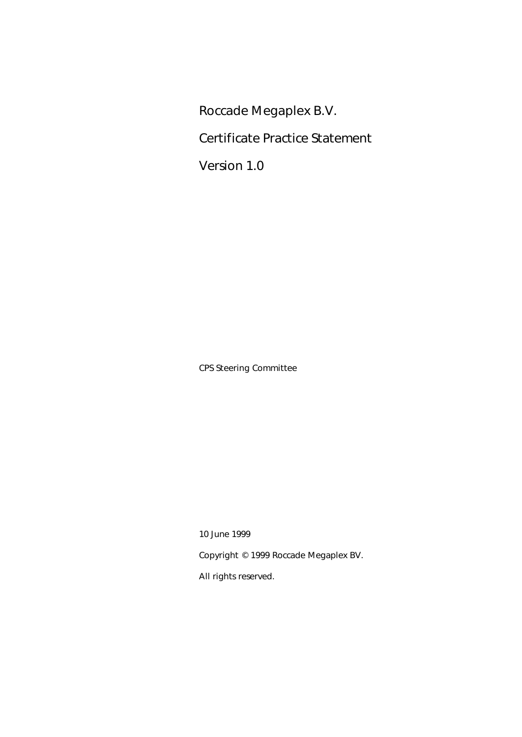Roccade Megaplex B.V.

Certificate Practice Statement

Version 1.0

CPS Steering Committee

10 June 1999

Copyright © 1999 Roccade Megaplex BV.

All rights reserved.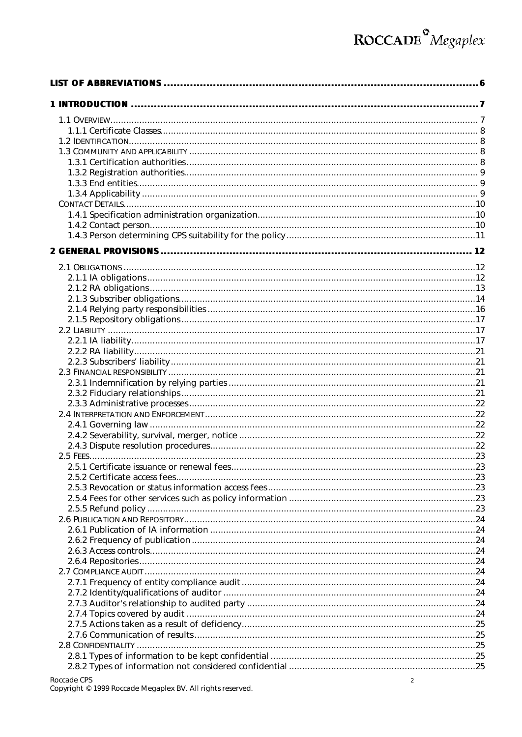| Roccade CPS |  |
|-------------|--|

Copyright © 1999 Roccade Megaplex BV. All rights reserved.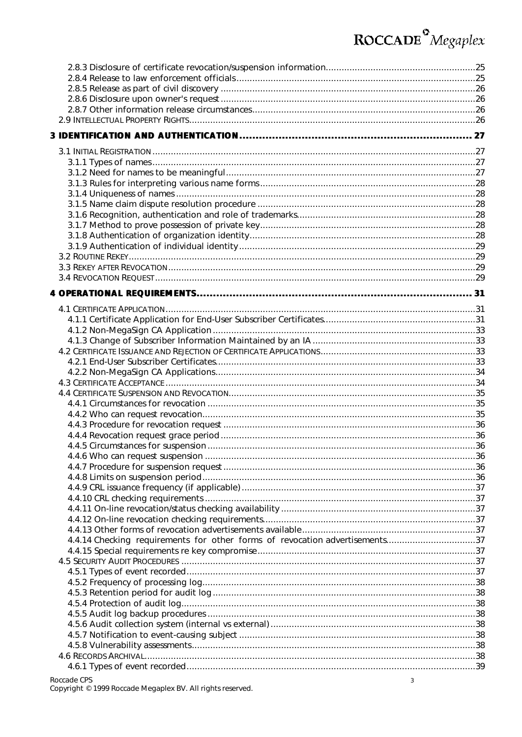| 4.4.14 Checking requirements for other forms of revocation advertisements37 |  |
|-----------------------------------------------------------------------------|--|
|                                                                             |  |
|                                                                             |  |
|                                                                             |  |
|                                                                             |  |
|                                                                             |  |
|                                                                             |  |
|                                                                             |  |
|                                                                             |  |
|                                                                             |  |
|                                                                             |  |
|                                                                             |  |
|                                                                             |  |
|                                                                             |  |

Roccade CPS<br>Copyright © 1999 Roccade Megaplex BV. All rights reserved.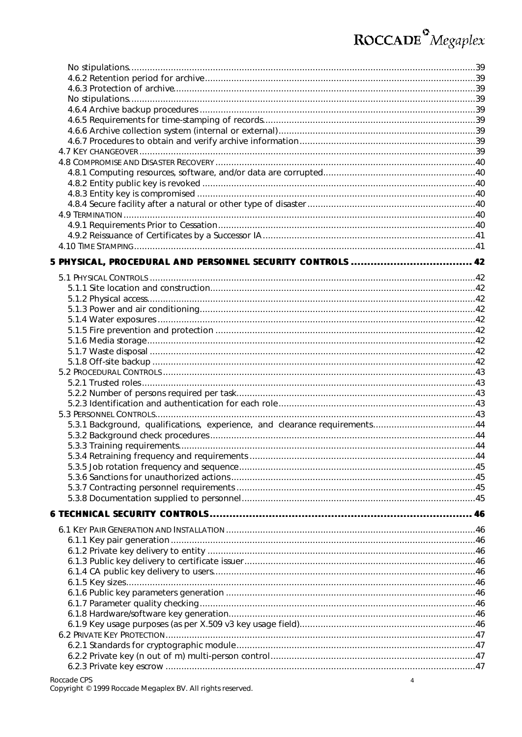| 5.3.1 Background, qualifications, experience, and clearance requirements44 |  |
|----------------------------------------------------------------------------|--|
|                                                                            |  |
|                                                                            |  |
|                                                                            |  |
|                                                                            |  |
|                                                                            |  |
|                                                                            |  |
|                                                                            |  |
|                                                                            |  |
|                                                                            |  |
|                                                                            |  |
|                                                                            |  |
|                                                                            |  |
|                                                                            |  |
|                                                                            |  |
|                                                                            |  |
|                                                                            |  |
|                                                                            |  |
|                                                                            |  |
|                                                                            |  |
|                                                                            |  |
|                                                                            |  |
|                                                                            |  |
|                                                                            |  |
| Roccade CPS                                                                |  |
| 4                                                                          |  |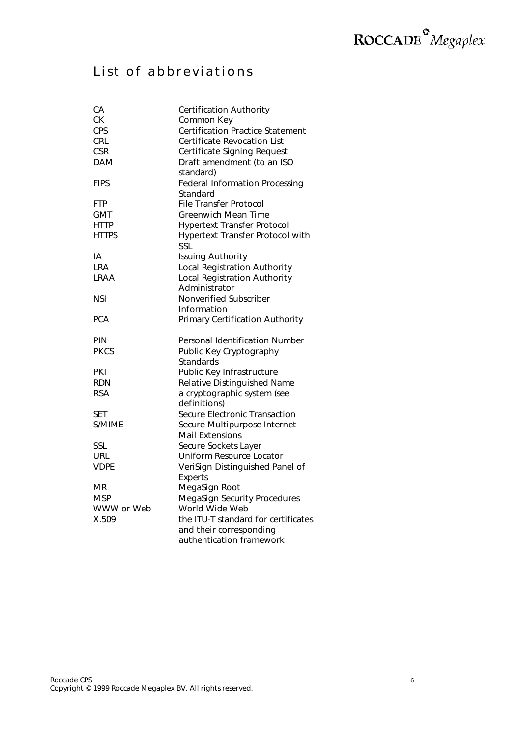### List of abbreviations

| CA           | <b>Certification Authority</b>          |
|--------------|-----------------------------------------|
| СK           | Common Key                              |
| <b>CPS</b>   | <b>Certification Practice Statement</b> |
| <b>CRL</b>   | <b>Certificate Revocation List</b>      |
| <b>CSR</b>   | Certificate Signing Request             |
| <b>DAM</b>   | Draft amendment (to an ISO              |
|              | standard)                               |
| FIPS         | <b>Federal Information Processing</b>   |
|              | Standard                                |
| <b>FTP</b>   | File Transfer Protocol                  |
| <b>GMT</b>   | Greenwich Mean Time                     |
| <b>HTTP</b>  | <b>Hypertext Transfer Protocol</b>      |
| <b>HTTPS</b> | Hypertext Transfer Protocol with        |
|              | SSL                                     |
| ١A           | <b>Issuing Authority</b>                |
| LRA          | Local Registration Authority            |
| LRAA         | Local Registration Authority            |
|              | Administrator                           |
| NSI          | Nonverified Subscriber                  |
|              | Information                             |
| <b>PCA</b>   | Primary Certification Authority         |
| PIN          | Personal Identification Number          |
| <b>PKCS</b>  | Public Key Cryptography                 |
|              | Standards                               |
| PKI          | Public Key Infrastructure               |
| <b>RDN</b>   | Relative Distinguished Name             |
| <b>RSA</b>   | a cryptographic system (see             |
|              | definitions)                            |
| <b>SET</b>   | Secure Electronic Transaction           |
| S/MIME       | Secure Multipurpose Internet            |
|              | <b>Mail Extensions</b>                  |
| SSL          | Secure Sockets Layer                    |
| <b>URL</b>   | Uniform Resource Locator                |
| VDPE         | VeriSign Distinguished Panel of         |
|              | <b>Experts</b>                          |
| MR           | MegaSign Root                           |
| MSP          | MegaSign Security Procedures            |
| WWW or Web   | World Wide Web                          |
| X.509        | the ITU-T standard for certificates     |
|              | and their corresponding                 |
|              | authentication framework                |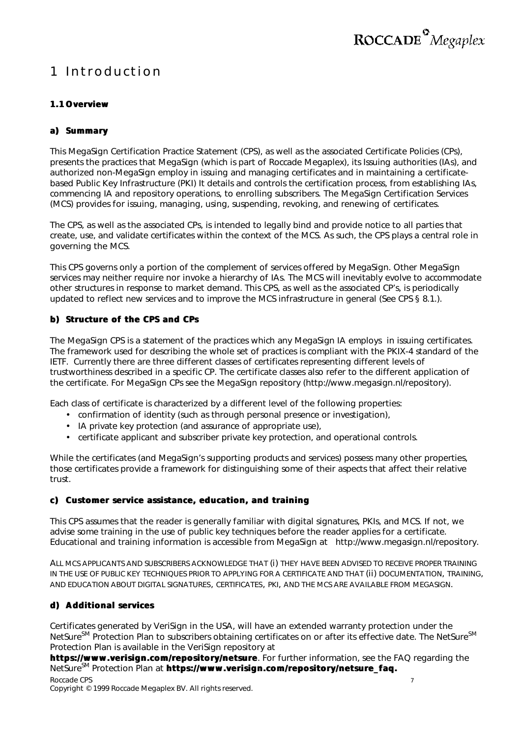### 1 Introduction

#### **1.1 Overview**

#### **a) Summary**

This MegaSign Certification Practice Statement (CPS), as well as the associated Certificate Policies (CPs), presents the practices that MegaSign (which is part of Roccade Megaplex), its Issuing authorities (IAs), and authorized non-MegaSign employ in issuing and managing certificates and in maintaining a certificatebased Public Key Infrastructure (PKI) It details and controls the certification process, from establishing IAs, commencing IA and repository operations, to enrolling subscribers. The MegaSign Certification Services (MCS) provides for issuing, managing, using, suspending, revoking, and renewing of certificates.

The CPS, as well as the associated CPs, is intended to legally bind and provide notice to all parties that create, use, and validate certificates within the context of the MCS. As such, the CPS plays a central role in governing the MCS.

This CPS governs only a portion of the complement of services offered by MegaSign. Other MegaSign services may neither require nor invoke a hierarchy of IAs. The MCS will inevitably evolve to accommodate other structures in response to market demand. This CPS, as well as the associated CP's, is periodically updated to reflect new services and to improve the MCS infrastructure in general (See CPS § 8.1.).

#### **b) Structure of the CPS and CPs**

The MegaSign CPS is a statement of the practices which any MegaSign IA employs in issuing certificates. The framework used for describing the whole set of practices is compliant with the PKIX-4 standard of the IETF. Currently there are three different classes of certificates representing different levels of trustworthiness described in a specific CP. The certificate classes also refer to the different application of the certificate. For MegaSign CPs see the MegaSign repository (http://www.megasign.nl/repository).

Each class of certificate is characterized by a different level of the following properties:

- confirmation of identity (such as through personal presence or investigation),
- IA private key protection (and assurance of appropriate use),
- certificate applicant and subscriber private key protection, and operational controls.

While the certificates (and MegaSign's supporting products and services) possess many other properties, those certificates provide a framework for distinguishing some of their aspects that affect their relative trust.

#### **c) Customer service assistance, education, and training**

This CPS assumes that the reader is generally familiar with digital signatures, PKIs, and MCS. If not, we advise some training in the use of public key techniques before the reader applies for a certificate. Educational and training information is accessible from MegaSign at http://www.megasign.nl/repository.

ALL MCS APPLICANTS AND SUBSCRIBERS ACKNOWLEDGE THAT (i) THEY HAVE BEEN ADVISED TO RECEIVE PROPER TRAINING IN THE USE OF PUBLIC KEY TECHNIQUES PRIOR TO APPLYING FOR A CERTIFICATE AND THAT (ii) DOCUMENTATION, TRAINING, AND EDUCATION ABOUT DIGITAL SIGNATURES, CERTIFICATES, PKI, AND THE MCS ARE AVAILABLE FROM MEGASIGN.

#### **d) Additional services**

Certificates generated by VeriSign in the USA, will have an extended warranty protection under the NetSure<sup>SM</sup> Protection Plan to subscribers obtaining certificates on or after its effective date. The NetSure<sup>SM</sup> Protection Plan is available in the VeriSign repository at

Roccade CPS 7 **https://www.verisign.com/repository/netsure**. For further information, see the FAQ regarding the NetSureSM Protection Plan at **https://www.verisign.com/repository/netsure\_faq.**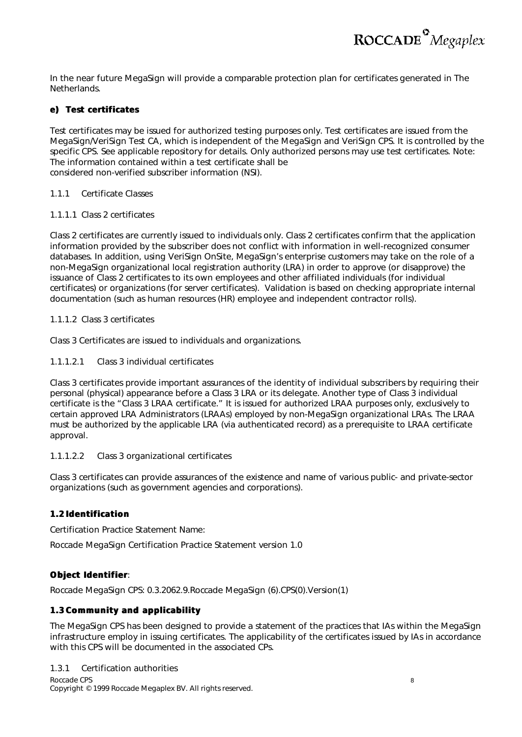

In the near future MegaSign will provide a comparable protection plan for certificates generated in The Netherlands.

#### **e) Test certificates**

Test certificates may be issued for authorized testing purposes only. Test certificates are issued from the MegaSign/VeriSign Test CA, which is independent of the MegaSign and VeriSign CPS. It is controlled by the specific CPS. See applicable repository for details. Only authorized persons may use test certificates. Note: The information contained within a test certificate shall be considered non-verified subscriber information (NSI).

#### *1.1.1 Certificate Classes*

#### 1.1.1.1 Class 2 certificates

Class 2 certificates are currently issued to individuals only. Class 2 certificates confirm that the application information provided by the subscriber does not conflict with information in well-recognized consumer databases. In addition, using VeriSign OnSite, MegaSign's enterprise customers may take on the role of a non-MegaSign organizational local registration authority (LRA) in order to approve (or disapprove) the issuance of Class 2 certificates to its own employees and other affiliated individuals (for individual certificates) or organizations (for server certificates). Validation is based on checking appropriate internal documentation (such as human resources (HR) employee and independent contractor rolls).

#### 1.1.1.2 Class 3 certificates

Class 3 Certificates are issued to individuals and organizations.

#### 1.1.1.2.1 Class 3 individual certificates

Class 3 certificates provide important assurances of the identity of individual subscribers by requiring their personal (physical) appearance before a Class 3 LRA or its delegate. Another type of Class 3 individual certificate is the "Class 3 LRAA certificate." It is issued for authorized LRAA purposes only, exclusively to certain approved LRA Administrators (LRAAs) employed by non-MegaSign organizational LRAs. The LRAA must be authorized by the applicable LRA (via authenticated record) as a prerequisite to LRAA certificate approval.

#### 1.1.1.2.2 Class 3 organizational certificates

Class 3 certificates can provide assurances of the existence and name of various public- and private-sector organizations (such as government agencies and corporations).

#### **1.2 Identification**

Certification Practice Statement Name:

Roccade MegaSign Certification Practice Statement version 1.0

#### **Object Identifier**:

Roccade MegaSign CPS: 0.3.2062.9.Roccade MegaSign (6).CPS(0).Version(1)

#### **1.3 Community and applicability**

The MegaSign CPS has been designed to provide a statement of the practices that IAs within the MegaSign infrastructure employ in issuing certificates. The applicability of the certificates issued by IAs in accordance with this CPS will be documented in the associated CPs.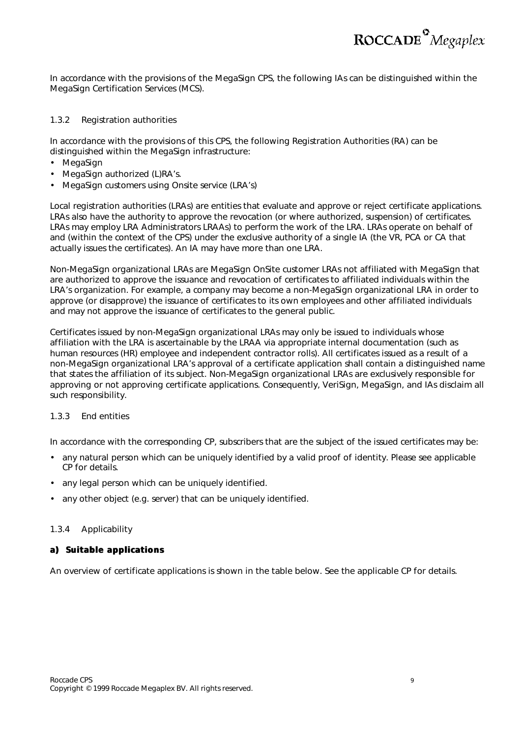In accordance with the provisions of the MegaSign CPS, the following IAs can be distinguished within the MegaSign Certification Services (MCS).

#### *1.3.2 Registration authorities*

In accordance with the provisions of this CPS, the following Registration Authorities (RA) can be distinguished within the MegaSign infrastructure:

- MegaSign
- MegaSign authorized (L)RA's.
- MegaSign customers using Onsite service (LRA's)

Local registration authorities (LRAs) are entities that evaluate and approve or reject certificate applications. LRAs also have the authority to approve the revocation (or where authorized, suspension) of certificates. LRAs may employ LRA Administrators LRAAs) to perform the work of the LRA. LRAs operate on behalf of and (within the context of the CPS) under the exclusive authority of a single IA (the VR, PCA or CA that actually issues the certificates). An IA may have more than one LRA.

Non-MegaSign organizational LRAs are MegaSign OnSite customer LRAs not affiliated with MegaSign that are authorized to approve the issuance and revocation of certificates to affiliated individuals within the LRA's organization. For example, a company may become a non-MegaSign organizational LRA in order to approve (or disapprove) the issuance of certificates to its own employees and other affiliated individuals and may not approve the issuance of certificates to the general public.

Certificates issued by non-MegaSign organizational LRAs may only be issued to individuals whose affiliation with the LRA is ascertainable by the LRAA via appropriate internal documentation (such as human resources (HR) employee and independent contractor rolls). All certificates issued as a result of a non-MegaSign organizational LRA's approval of a certificate application shall contain a distinguished name that states the affiliation of its subject. Non-MegaSign organizational LRAs are exclusively responsible for approving or not approving certificate applications. Consequently, VeriSign, MegaSign, and IAs disclaim all such responsibility.

#### *1.3.3 End entities*

In accordance with the corresponding CP, subscribers that are the subject of the issued certificates may be:

- any natural person which can be uniquely identified by a valid proof of identity. Please see applicable CP for details.
- any legal person which can be uniquely identified.
- any other object (e.g. server) that can be uniquely identified.

#### *1.3.4 Applicability*

#### **a) Suitable applications**

An overview of certificate applications is shown in the table below. See the applicable CP for details.

ROCCADE<sup>°</sup>Megaplex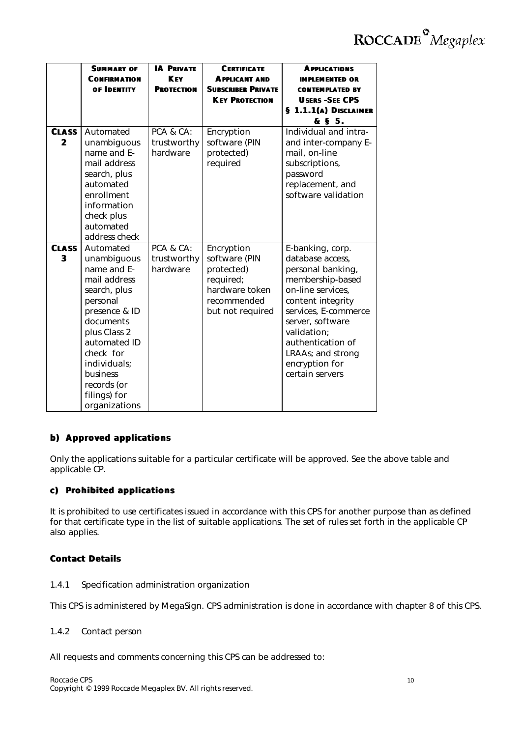|                              | <b>SUMMARY OF</b><br><b>CONFIRMATION</b><br>OF IDENTITY                                                                                                                                                                                    | <b>IA PRIVATE</b><br><b>KFY</b><br><b>PROTECTION</b> | <b>CERTIFICATE</b><br><b>APPLICANT AND</b><br><b>SUBSCRIBER PRIVATE</b><br><b>KEY PROTECTION</b>            | <b>APPLICATIONS</b><br><b>IMPLEMENTED OR</b><br><b>CONTEMPLATED BY</b><br><b>USERS -SEE CPS</b><br>§ 1.1.1(A) DISCLAIMER<br>& § 5.                                                                                                                                |
|------------------------------|--------------------------------------------------------------------------------------------------------------------------------------------------------------------------------------------------------------------------------------------|------------------------------------------------------|-------------------------------------------------------------------------------------------------------------|-------------------------------------------------------------------------------------------------------------------------------------------------------------------------------------------------------------------------------------------------------------------|
| <b>CLASS</b><br>$\mathbf{2}$ | Automated<br>unambiguous<br>name and E-<br>mail address<br>search, plus<br>automated<br>enrollment<br>information<br>check plus<br>automated<br>address check                                                                              | PCA & CA:<br>trustworthy<br>hardware                 | Encryption<br>software (PIN<br>protected)<br>required                                                       | Individual and intra-<br>and inter-company E-<br>mail, on-line<br>subscriptions,<br>password<br>replacement, and<br>software validation                                                                                                                           |
| <b>CLASS</b><br>3            | Automated<br>unambiguous<br>name and E-<br>mail address<br>search, plus<br>personal<br>presence & ID<br>documents<br>plus Class 2<br>automated ID<br>check for<br>individuals;<br>business<br>records (or<br>filings) for<br>organizations | PCA & CA:<br>trustworthy<br>hardware                 | Encryption<br>software (PIN<br>protected)<br>required;<br>hardware token<br>recommended<br>but not required | E-banking, corp.<br>database access,<br>personal banking,<br>membership-based<br>on-line services,<br>content integrity<br>services, E-commerce<br>server, software<br>validation;<br>authentication of<br>LRAAs; and strong<br>encryption for<br>certain servers |

#### **b) Approved applications**

Only the applications suitable for a particular certificate will be approved. See the above table and applicable CP.

#### **c) Prohibited applications**

It is prohibited to use certificates issued in accordance with this CPS for another purpose than as defined for that certificate type in the list of suitable applications. The set of rules set forth in the applicable CP also applies.

#### **Contact Details**

#### *1.4.1 Specification administration organization*

This CPS is administered by MegaSign. CPS administration is done in accordance with chapter 8 of this CPS.

#### *1.4.2 Contact person*

All requests and comments concerning this CPS can be addressed to: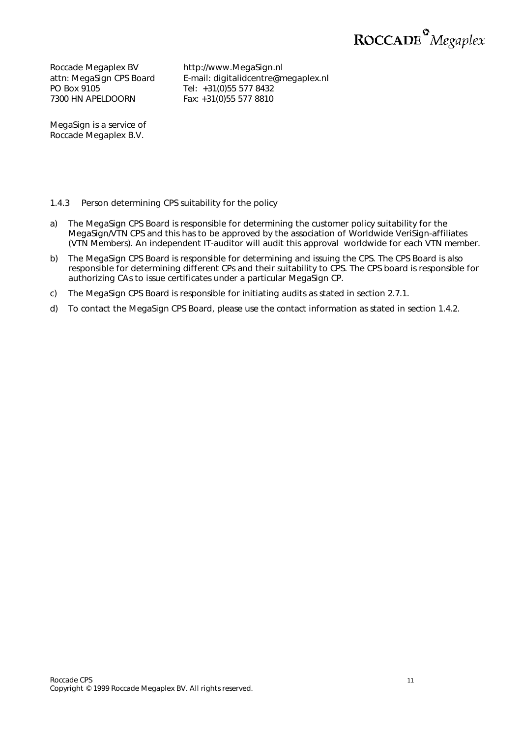

Roccade Megaplex BV attn: MegaSign CPS Board PO Box 9105 7300 HN APELDOORN

http://www.MegaSign.nl E-mail: digitalidcentre@megaplex.nl Tel: +31(0)55 577 8432 Fax: +31(0)55 577 8810

MegaSign is a service of Roccade Megaplex B.V.

#### *1.4.3 Person determining CPS suitability for the policy*

- a) The MegaSign CPS Board is responsible for determining the customer policy suitability for the MegaSign/VTN CPS and this has to be approved by the association of Worldwide VeriSign-affiliates (VTN Members). An independent IT-auditor will audit this approval worldwide for each VTN member.
- b) The MegaSign CPS Board is responsible for determining and issuing the CPS. The CPS Board is also responsible for determining different CPs and their suitability to CPS. The CPS board is responsible for authorizing CAs to issue certificates under a particular MegaSign CP.
- c) The MegaSign CPS Board is responsible for initiating audits as stated in section 2.7.1.
- d) To contact the MegaSign CPS Board, please use the contact information as stated in section 1.4.2.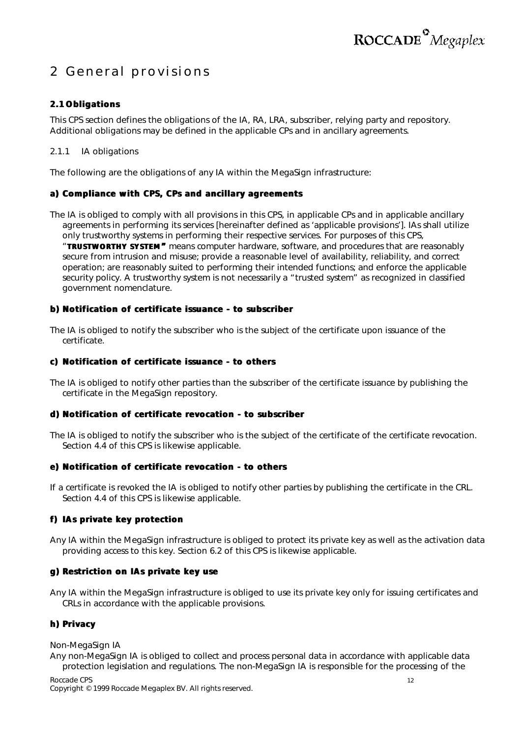### 2 General provisions

#### **2.1 Obligations**

This CPS section defines the obligations of the IA, RA, LRA, subscriber, relying party and repository. Additional obligations may be defined in the applicable CPs and in ancillary agreements.

#### *2.1.1 IA obligations*

The following are the obligations of any IA within the MegaSign infrastructure:

#### **a) Compliance with CPS, CPs and ancillary agreements**

The IA is obliged to comply with all provisions in this CPS, in applicable CPs and in applicable ancillary agreements in performing its services [hereinafter defined as 'applicable provisions']. IAs shall utilize only trustworthy systems in performing their respective services. For purposes of this CPS, "**TRUSTWORTHY SYSTEM"** means computer hardware, software, and procedures that are reasonably secure from intrusion and misuse; provide a reasonable level of availability, reliability, and correct operation; are reasonably suited to performing their intended functions; and enforce the applicable security policy. A trustworthy system is not necessarily a "trusted system" as recognized in classified government nomenclature.

#### **b) Notification of certificate issuance - to subscriber**

The IA is obliged to notify the subscriber who is the subject of the certificate upon issuance of the certificate.

#### **c) Notification of certificate issuance - to others**

The IA is obliged to notify other parties than the subscriber of the certificate issuance by publishing the certificate in the MegaSign repository.

#### **d) Notification of certificate revocation - to subscriber**

The IA is obliged to notify the subscriber who is the subject of the certificate of the certificate revocation. Section 4.4 of this CPS is likewise applicable.

#### **e) Notification of certificate revocation - to others**

If a certificate is revoked the IA is obliged to notify other parties by publishing the certificate in the CRL. Section 4.4 of this CPS is likewise applicable.

#### **f) IAs private key protection**

Any IA within the MegaSign infrastructure is obliged to protect its private key as well as the activation data providing access to this key. Section 6.2 of this CPS is likewise applicable.

#### **g) Restriction on IAs private key use**

Any IA within the MegaSign infrastructure is obliged to use its private key only for issuing certificates and CRLs in accordance with the applicable provisions.

#### **h) Privacy**

#### *Non-MegaSign IA*

Any non-MegaSign IA is obliged to collect and process personal data in accordance with applicable data protection legislation and regulations. The non-MegaSign IA is responsible for the processing of the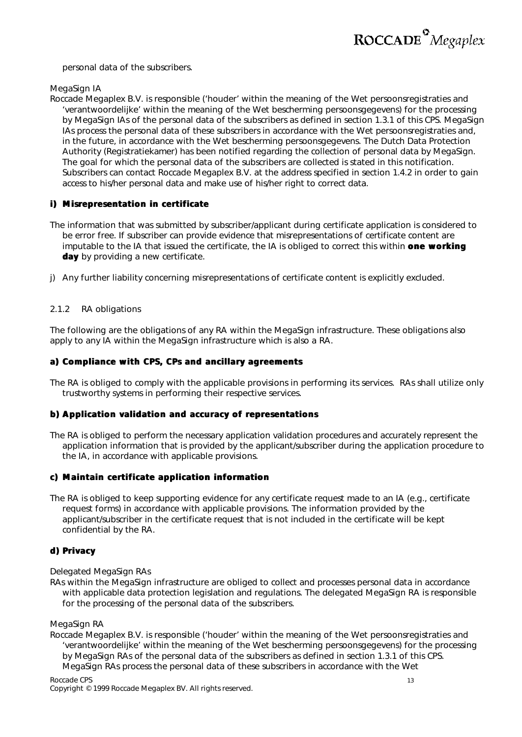

personal data of the subscribers.

*MegaSign IA*

Roccade Megaplex B.V. is responsible ('houder' within the meaning of the Wet persoonsregistraties and 'verantwoordelijke' within the meaning of the Wet bescherming persoonsgegevens) for the processing by MegaSign IAs of the personal data of the subscribers as defined in section 1.3.1 of this CPS. MegaSign IAs process the personal data of these subscribers in accordance with the Wet persoonsregistraties and, in the future, in accordance with the Wet bescherming persoonsgegevens. The Dutch Data Protection Authority (Registratiekamer) has been notified regarding the collection of personal data by MegaSign. The goal for which the personal data of the subscribers are collected is stated in this notification. Subscribers can contact Roccade Megaplex B.V. at the address specified in section 1.4.2 in order to gain access to his/her personal data and make use of his/her right to correct data.

#### **i) Misrepresentation in certificate**

- The information that was submitted by subscriber/applicant during certificate application is considered to be error free. If subscriber can provide evidence that misrepresentations of certificate content are imputable to the IA that issued the certificate, the IA is obliged to correct this within *one working day* by providing a new certificate.
- j) Any further liability concerning misrepresentations of certificate content is explicitly excluded.

#### *2.1.2 RA obligations*

The following are the obligations of any RA within the MegaSign infrastructure. These obligations also apply to any IA within the MegaSign infrastructure which is also a RA.

#### **a) Compliance with CPS, CPs and ancillary agreements**

The RA is obliged to comply with the applicable provisions in performing its services. RAs shall utilize only trustworthy systems in performing their respective services.

#### **b) Application validation and accuracy of representations**

The RA is obliged to perform the necessary application validation procedures and accurately represent the application information that is provided by the applicant/subscriber during the application procedure to the IA, in accordance with applicable provisions.

#### **c) Maintain certificate application information**

The RA is obliged to keep supporting evidence for any certificate request made to an IA (e.g., certificate request forms) in accordance with applicable provisions. The information provided by the applicant/subscriber in the certificate request that is not included in the certificate will be kept confidential by the RA.

#### **d) Privacy**

#### *Delegated MegaSign RAs*

RAs within the MegaSign infrastructure are obliged to collect and processes personal data in accordance with applicable data protection legislation and regulations. The delegated MegaSign RA is responsible for the processing of the personal data of the subscribers.

#### *MegaSign RA*

Roccade Megaplex B.V. is responsible ('houder' within the meaning of the Wet persoonsregistraties and 'verantwoordelijke' within the meaning of the Wet bescherming persoonsgegevens) for the processing by MegaSign RAs of the personal data of the subscribers as defined in section 1.3.1 of this CPS. MegaSign RAs process the personal data of these subscribers in accordance with the Wet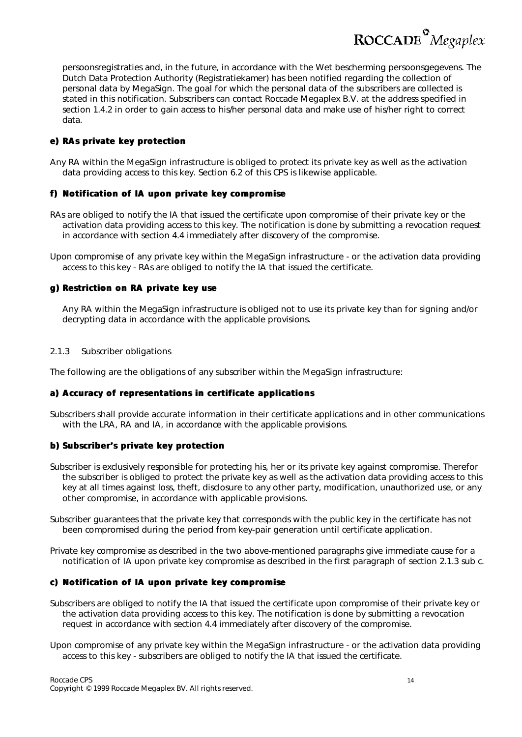ROCCADE<sup>°</sup>Megaplex

persoonsregistraties and, in the future, in accordance with the Wet bescherming persoonsgegevens. The Dutch Data Protection Authority (Registratiekamer) has been notified regarding the collection of personal data by MegaSign. The goal for which the personal data of the subscribers are collected is stated in this notification. Subscribers can contact Roccade Megaplex B.V. at the address specified in section 1.4.2 in order to gain access to his/her personal data and make use of his/her right to correct data.

#### **e) RAs private key protection**

Any RA within the MegaSign infrastructure is obliged to protect its private key as well as the activation data providing access to this key. Section 6.2 of this CPS is likewise applicable.

#### **f) Notification of IA upon private key compromise**

RAs are obliged to notify the IA that issued the certificate upon compromise of their private key or the activation data providing access to this key. The notification is done by submitting a revocation request in accordance with section 4.4 immediately after discovery of the compromise.

Upon compromise of any private key within the MegaSign infrastructure - or the activation data providing access to this key - RAs are obliged to notify the IA that issued the certificate.

#### **g) Restriction on RA private key use**

Any RA within the MegaSign infrastructure is obliged not to use its private key than for signing and/or decrypting data in accordance with the applicable provisions.

#### *2.1.3 Subscriber obligations*

The following are the obligations of any subscriber within the MegaSign infrastructure:

#### **a) Accuracy of representations in certificate applications**

Subscribers shall provide accurate information in their certificate applications and in other communications with the LRA, RA and IA, in accordance with the applicable provisions.

#### **b) Subscriber's private key protection**

- Subscriber is exclusively responsible for protecting his, her or its private key against compromise. Therefor the subscriber is obliged to protect the private key as well as the activation data providing access to this key at all times against loss, theft, disclosure to any other party, modification, unauthorized use, or any other compromise, in accordance with applicable provisions.
- Subscriber guarantees that the private key that corresponds with the public key in the certificate has not been compromised during the period from key-pair generation until certificate application.
- Private key compromise as described in the two above-mentioned paragraphs give immediate cause for a notification of IA upon private key compromise as described in the first paragraph of section 2.1.3 sub c.

#### **c) Notification of IA upon private key compromise**

- Subscribers are obliged to notify the IA that issued the certificate upon compromise of their private key or the activation data providing access to this key. The notification is done by submitting a revocation request in accordance with section 4.4 immediately after discovery of the compromise.
- Upon compromise of any private key within the MegaSign infrastructure or the activation data providing access to this key - subscribers are obliged to notify the IA that issued the certificate.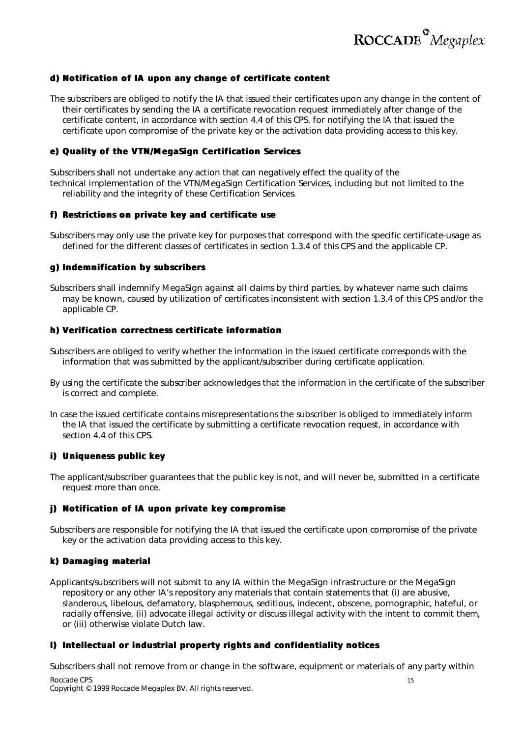

#### **d) Notification of IA upon any change of certificate content**

The subscribers are obliged to notify the IA that issued their certificates upon any change in the content of their certificates by sending the IA a certificate revocation request immediately after change of the certificate content, in accordance with section 4.4 of this CPS. for notifying the IA that issued the certificate upon compromise of the private key or the activation data providing access to this key.

#### **e) Quality of the VTN/MegaSign Certification Services**

Subscribers shall not undertake any action that can negatively effect the quality of the technical implementation of the VTN/MegaSign Certification Services, including but not limited to the reliability and the integrity of these Certification Services.

#### **f) Restrictions on private key and certificate use**

Subscribers may only use the private key for purposes that correspond with the specific certificate-usage as defined for the different classes of certificates in section 1.3.4 of this CPS and the applicable CP.

#### **g) Indemnification by subscribers**

Subscribers shall indemnify MegaSign against all claims by third parties, by whatever name such claims may be known, caused by utilization of certificates inconsistent with section 1.3.4 of this CPS and/or the applicable CP.

#### **h) Verification correctness certificate information**

Subscribers are obliged to verify whether the information in the issued certificate corresponds with the information that was submitted by the applicant/subscriber during certificate application.

- By using the certificate the subscriber acknowledges that the information in the certificate of the subscriber is correct and complete.
- In case the issued certificate contains misrepresentations the subscriber is obliged to immediately inform the IA that issued the certificate by submitting a certificate revocation request, in accordance with section 4.4 of this CPS.

#### **i) Uniqueness public key**

The applicant/subscriber guarantees that the public key is not, and will never be, submitted in a certificate request more than once.

#### **j) Notification of IA upon private key compromise**

Subscribers are responsible for notifying the IA that issued the certificate upon compromise of the private key or the activation data providing access to this key.

#### **k) Damaging material**

Applicants/subscribers will not submit to any IA within the MegaSign infrastructure or the MegaSign repository or any other IA's repository any materials that contain statements that (i) are abusive, slanderous, libelous, defamatory, blasphemous, seditious, indecent, obscene, pornographic, hateful, or racially offensive, (ii) advocate illegal activity or discuss illegal activity with the intent to commit them, or (iii) otherwise violate Dutch law.

#### **l) Intellectual or industrial property rights and confidentiality notices**

Roccade CPS **15** Subscribers shall not remove from or change in the software, equipment or materials of any party within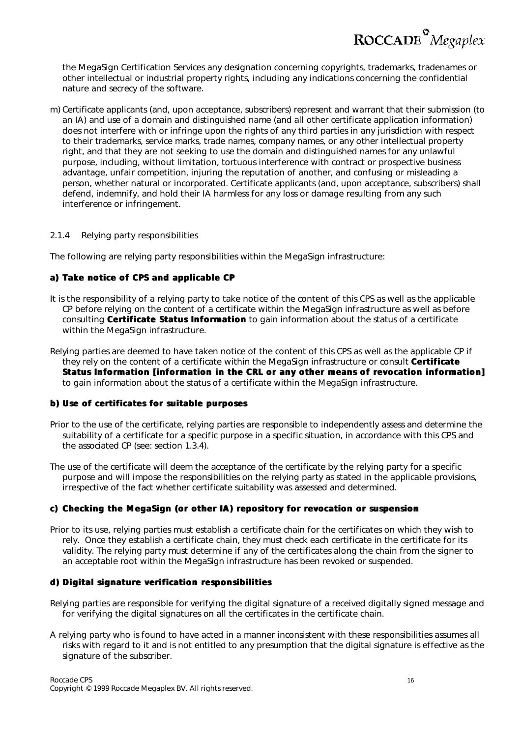ROCCADE<sup>°</sup>Megaplex

the MegaSign Certification Services any designation concerning copyrights, trademarks, tradenames or other intellectual or industrial property rights, including any indications concerning the confidential nature and secrecy of the software.

m) Certificate applicants (and, upon acceptance, subscribers) represent and warrant that their submission (to an IA) and use of a domain and distinguished name (and all other certificate application information) does not interfere with or infringe upon the rights of any third parties in any jurisdiction with respect to their trademarks, service marks, trade names, company names, or any other intellectual property right, and that they are not seeking to use the domain and distinguished names for any unlawful purpose, including, without limitation, tortuous interference with contract or prospective business advantage, unfair competition, injuring the reputation of another, and confusing or misleading a person, whether natural or incorporated. Certificate applicants (and, upon acceptance, subscribers) shall defend, indemnify, and hold their IA harmless for any loss or damage resulting from any such interference or infringement.

#### *2.1.4 Relying party responsibilities*

The following are relying party responsibilities within the MegaSign infrastructure:

#### **a) Take notice of CPS and applicable CP**

- It is the responsibility of a relying party to take notice of the content of this CPS as well as the applicable CP before relying on the content of a certificate within the MegaSign infrastructure as well as before consulting **Certificate Status Information** to gain information about the status of a certificate within the MegaSign infrastructure.
- Relying parties are deemed to have taken notice of the content of this CPS as well as the applicable CP if they rely on the content of a certificate within the MegaSign infrastructure or consult **Certificate Status Information [information in the CRL or any other means of revocation information]** to gain information about the status of a certificate within the MegaSign infrastructure.

#### **b) Use of certificates for suitable purposes**

- Prior to the use of the certificate, relying parties are responsible to independently assess and determine the suitability of a certificate for a specific purpose in a specific situation, in accordance with this CPS and the associated CP (see: section 1.3.4).
- The use of the certificate will deem the acceptance of the certificate by the relying party for a specific purpose and will impose the responsibilities on the relying party as stated in the applicable provisions, irrespective of the fact whether certificate suitability was assessed and determined.

#### **c) Checking the MegaSign (or other IA) repository for revocation or suspension**

Prior to its use, relying parties must establish a certificate chain for the certificates on which they wish to rely. Once they establish a certificate chain, they must check each certificate in the certificate for its validity. The relying party must determine if any of the certificates along the chain from the signer to an acceptable root within the MegaSign infrastructure has been revoked or suspended.

#### **d) Digital signature verification responsibilities**

- Relying parties are responsible for verifying the digital signature of a received digitally signed message and for verifying the digital signatures on all the certificates in the certificate chain.
- A relying party who is found to have acted in a manner inconsistent with these responsibilities assumes all risks with regard to it and is not entitled to any presumption that the digital signature is effective as the signature of the subscriber.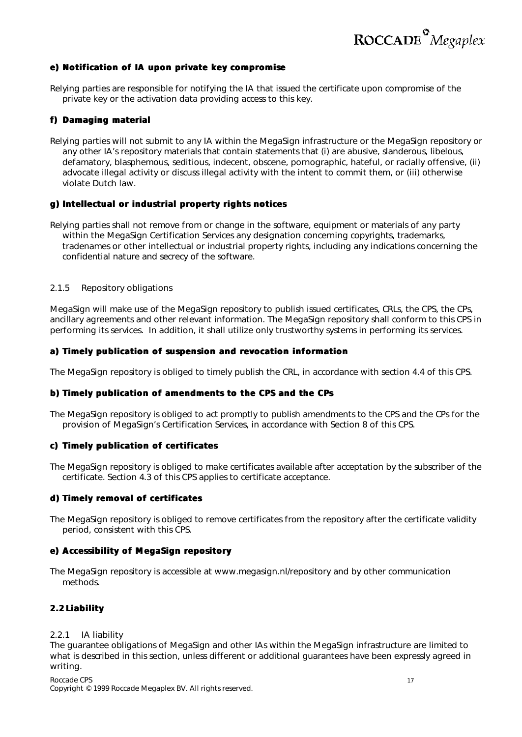

#### **e) Notification of IA upon private key compromise**

Relying parties are responsible for notifying the IA that issued the certificate upon compromise of the private key or the activation data providing access to this key.

#### **f) Damaging material**

Relying parties will not submit to any IA within the MegaSign infrastructure or the MegaSign repository or any other IA's repository materials that contain statements that (i) are abusive, slanderous, libelous, defamatory, blasphemous, seditious, indecent, obscene, pornographic, hateful, or racially offensive, (ii) advocate illegal activity or discuss illegal activity with the intent to commit them, or (iii) otherwise violate Dutch law.

#### **g) Intellectual or industrial property rights notices**

Relying parties shall not remove from or change in the software, equipment or materials of any party within the MegaSign Certification Services any designation concerning copyrights, trademarks, tradenames or other intellectual or industrial property rights, including any indications concerning the confidential nature and secrecy of the software.

#### *2.1.5 Repository obligations*

MegaSign will make use of the MegaSign repository to publish issued certificates, CRLs, the CPS, the CPs, ancillary agreements and other relevant information. The MegaSign repository shall conform to this CPS in performing its services. In addition, it shall utilize only trustworthy systems in performing its services.

#### **a) Timely publication of suspension and revocation information**

The MegaSign repository is obliged to timely publish the CRL, in accordance with section 4.4 of this CPS.

#### **b) Timely publication of amendments to the CPS and the CPs**

The MegaSign repository is obliged to act promptly to publish amendments to the CPS and the CPs for the provision of MegaSign's Certification Services, in accordance with Section 8 of this CPS.

#### **c) Timely publication of certificates**

The MegaSign repository is obliged to make certificates available after acceptation by the subscriber of the certificate. Section 4.3 of this CPS applies to certificate acceptance.

#### **d) Timely removal of certificates**

The MegaSign repository is obliged to remove certificates from the repository after the certificate validity period, consistent with this CPS.

#### **e) Accessibility of MegaSign repository**

The MegaSign repository is accessible at www.megasign.nl/repository and by other communication methods.

#### **2.2 Liability**

#### *2.2.1 IA liability*

The guarantee obligations of MegaSign and other IAs within the MegaSign infrastructure are limited to what is described in this section, unless different or additional guarantees have been expressly agreed in writing.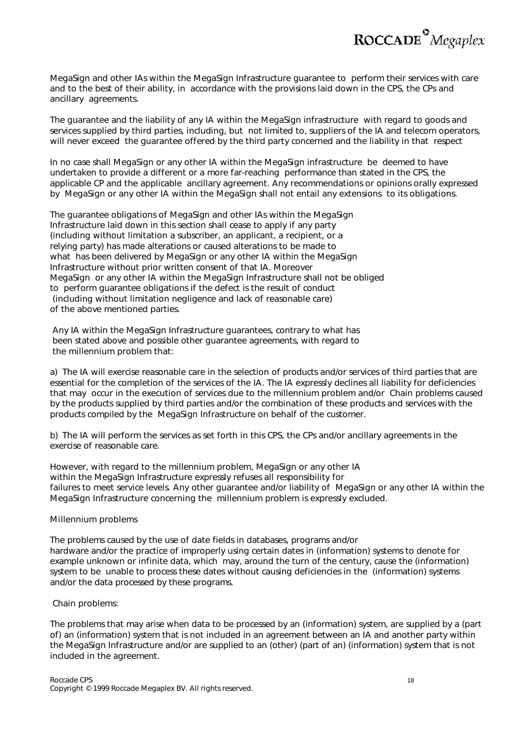

MegaSign and other IAs within the MegaSign Infrastructure guarantee to perform their services with care and to the best of their ability, in accordance with the provisions laid down in the CPS, the CPs and ancillary agreements.

The guarantee and the liability of any IA within the MegaSign infrastructure with regard to goods and services supplied by third parties, including, but not limited to, suppliers of the IA and telecom operators, will never exceed the guarantee offered by the third party concerned and the liability in that respect

In no case shall MegaSign or any other IA within the MegaSign infrastructure be deemed to have undertaken to provide a different or a more far-reaching performance than stated in the CPS, the applicable CP and the applicable ancillary agreement. Any recommendations or opinions orally expressed by MegaSign or any other IA within the MegaSign shall not entail any extensions to its obligations.

The guarantee obligations of MegaSign and other IAs within the MegaSign Infrastructure laid down in this section shall cease to apply if any party (including without limitation a subscriber, an applicant, a recipient, or a relying party) has made alterations or caused alterations to be made to what has been delivered by MegaSign or any other IA within the MegaSign Infrastructure without prior written consent of that IA. Moreover MegaSign or any other IA within the MegaSign Infrastructure shall not be obliged to perform guarantee obligations if the defect is the result of conduct (including without limitation negligence and lack of reasonable care) of the above mentioned parties.

 Any IA within the MegaSign Infrastructure guarantees, contrary to what has been stated above and possible other guarantee agreements, with regard to the millennium problem that:

a) The IA will exercise reasonable care in the selection of products and/or services of third parties that are essential for the completion of the services of the IA. The IA expressly declines all liability for deficiencies that may occur in the execution of services due to the millennium problem and/or Chain problems caused by the products supplied by third parties and/or the combination of these products and services with the products compiled by the MegaSign Infrastructure on behalf of the customer.

b) The IA will perform the services as set forth in this CPS, the CPs and/or ancillary agreements in the exercise of reasonable care.

However, with regard to the millennium problem, MegaSign or any other IA within the MegaSign Infrastructure expressly refuses all responsibility for failures to meet service levels. Any other guarantee and/or liability of MegaSign or any other IA within the MegaSign Infrastructure concerning the millennium problem is expressly excluded.

#### Millennium problems

The problems caused by the use of date fields in databases, programs and/or hardware and/or the practice of improperly using certain dates in (information) systems to denote for example unknown or infinite data, which may, around the turn of the century, cause the (information) system to be unable to process these dates without causing deficiencies in the (information) systems and/or the data processed by these programs.

Chain problems:

The problems that may arise when data to be processed by an (information) system, are supplied by a (part of) an (information) system that is not included in an agreement between an IA and another party within the MegaSign Infrastructure and/or are supplied to an (other) (part of an) (information) system that is not included in the agreement.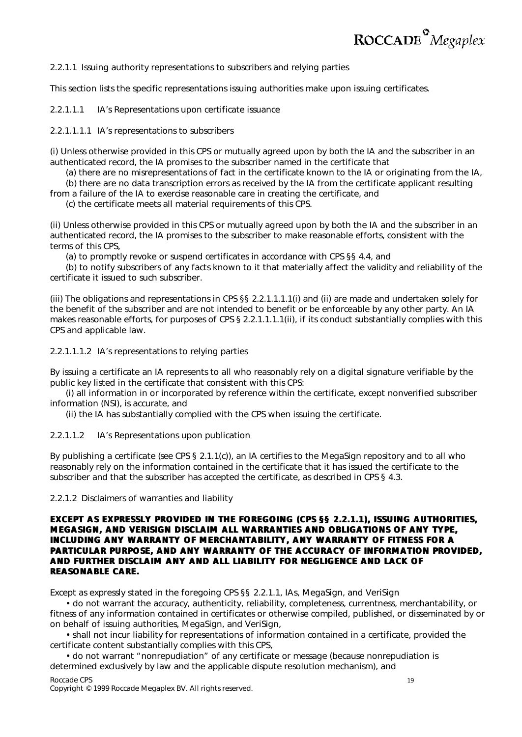

2.2.1.1 Issuing authority representations to subscribers and relying parties

This section lists the specific representations issuing authorities make upon issuing certificates.

2.2.1.1.1 IA's Representations upon certificate issuance

2.2.1.1.1.1 IA's representations to subscribers

(i) Unless otherwise provided in this CPS or mutually agreed upon by both the IA and the subscriber in an authenticated record, the IA promises to the subscriber named in the certificate that

(a) there are no misrepresentations of fact in the certificate known to the IA or originating from the IA,

(b) there are no data transcription errors as received by the IA from the certificate applicant resulting from a failure of the IA to exercise reasonable care in creating the certificate, and

(c) the certificate meets all material requirements of this CPS.

(ii) Unless otherwise provided in this CPS or mutually agreed upon by both the IA and the subscriber in an authenticated record, the IA promises to the subscriber to make reasonable efforts, consistent with the terms of this CPS

(a) to promptly revoke or suspend certificates in accordance with CPS §§ 4.4, and

(b) to notify subscribers of any facts known to it that materially affect the validity and reliability of the certificate it issued to such subscriber.

(iii) The obligations and representations in CPS §§ 2.2.1.1.1.1(i) and (ii) are made and undertaken solely for the benefit of the subscriber and are not intended to benefit or be enforceable by any other party. An IA makes reasonable efforts, for purposes of CPS § 2.2.1.1.1.1(ii), if its conduct substantially complies with this CPS and applicable law.

2.2.1.1.1.2 IA's representations to relying parties

By issuing a certificate an IA represents to all who reasonably rely on a digital signature verifiable by the public key listed in the certificate that consistent with this CPS:

(i) all information in or incorporated by reference within the certificate, except nonverified subscriber information (NSI), is accurate, and

(ii) the IA has substantially complied with the CPS when issuing the certificate.

#### 2.2.1.1.2 IA's Representations upon publication

By publishing a certificate (*see* CPS § 2.1.1(c)), an IA certifies to the MegaSign repository and to all who reasonably rely on the information contained in the certificate that it has issued the certificate to the subscriber and that the subscriber has accepted the certificate, as described in CPS § 4.3.

2.2.1.2 Disclaimers of warranties and liability

#### **EXCEPT AS EXPRESSLY PROVIDED IN THE FOREGOING (CPS §§ 2.2.1.1), ISSUING AUTHORITIES, MEGASIGN, AND VERISIGN DISCLAIM ALL WARRANTIES AND OBLIGATIONS OF ANY TYPE, INCLUDING ANY WARRANTY OF MERCHANTABILITY, ANY WARRANTY OF FITNESS FOR A PARTICULAR PURPOSE, AND ANY WARRANTY OF THE ACCURACY OF INFORMATION PROVIDED, AND FURTHER DISCLAIM ANY AND ALL LIABILITY FOR NEGLIGENCE AND LACK OF REASONABLE CARE.**

Except as expressly stated in the foregoing CPS §§ 2.2.1.1, IAs, MegaSign, and VeriSign

• do not warrant the accuracy, authenticity, reliability, completeness, currentness, merchantability, or fitness of any information contained in certificates or otherwise compiled, published, or disseminated by or on behalf of issuing authorities, MegaSign, and VeriSign,

• shall not incur liability for representations of information contained in a certificate, provided the certificate content substantially complies with this CPS,

• do not warrant "nonrepudiation" of any certificate or message (because nonrepudiation is determined exclusively by law and the applicable dispute resolution mechanism), and

Roccade CPS 19 Copyright © 1999 Roccade Megaplex BV. All rights reserved.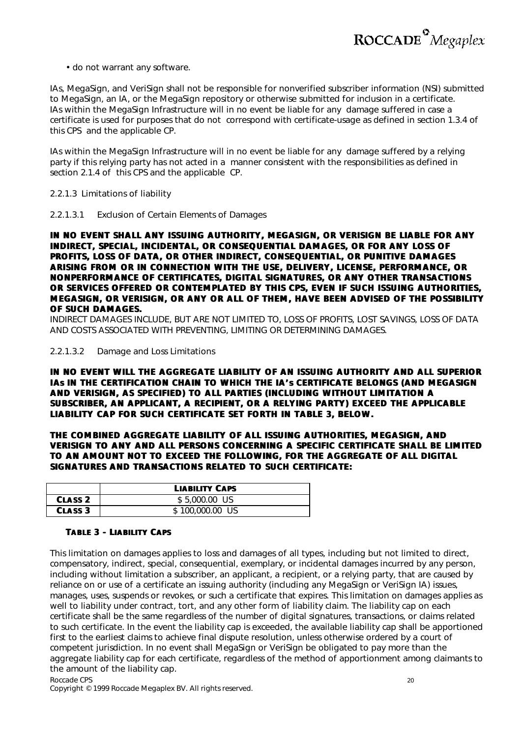

• do not warrant any software.

IAs, MegaSign, and VeriSign shall not be responsible for nonverified subscriber information (NSI) submitted to MegaSign, an IA, or the MegaSign repository or otherwise submitted for inclusion in a certificate. IAs within the MegaSign Infrastructure will in no event be liable for any damage suffered in case a certificate is used for purposes that do not correspond with certificate-usage as defined in section 1.3.4 of this CPS and the applicable CP.

IAs within the MegaSign Infrastructure will in no event be liable for any damage suffered by a relying party if this relying party has not acted in a manner consistent with the responsibilities as defined in section 2.1.4 of this CPS and the applicable CP.

2.2.1.3 Limitations of liability

2.2.1.3.1 Exclusion of Certain Elements of Damages

**IN NO EVENT SHALL ANY ISSUING AUTHORITY, MEGASIGN, OR VERISIGN BE LIABLE FOR ANY INDIRECT, SPECIAL, INCIDENTAL, OR CONSEQUENTIAL DAMAGES, OR FOR ANY LOSS OF PROFITS, LOSS OF DATA, OR OTHER INDIRECT, CONSEQUENTIAL, OR PUNITIVE DAMAGES ARISING FROM OR IN CONNECTION WITH THE USE, DELIVERY, LICENSE, PERFORMANCE, OR NONPERFORMANCE OF CERTIFICATES, DIGITAL SIGNATURES, OR ANY OTHER TRANSACTIONS OR SERVICES OFFERED OR CONTEMPLATED BY THIS CPS, EVEN IF SUCH ISSUING AUTHORITIES, MEGASIGN, OR VERISIGN, OR ANY OR ALL OF THEM, HAVE BEEN ADVISED OF THE POSSIBILITY OF SUCH DAMAGES.**

INDIRECT DAMAGES INCLUDE, BUT ARE NOT LIMITED TO, LOSS OF PROFITS, LOST SAVINGS, LOSS OF DATA AND COSTS ASSOCIATED WITH PREVENTING, LIMITING OR DETERMINING DAMAGES.

2.2.1.3.2 Damage and Loss Limitations

**IN NO EVENT WILL THE AGGREGATE LIABILITY OF AN ISSUING AUTHORITY AND ALL SUPERIOR IAs IN THE CERTIFICATION CHAIN TO WHICH THE IA's CERTIFICATE BELONGS (AND MEGASIGN AND VERISIGN, AS SPECIFIED) TO ALL PARTIES (INCLUDING WITHOUT LIMITATION A SUBSCRIBER, AN APPLICANT, A RECIPIENT, OR A RELYING PARTY) EXCEED THE APPLICABLE LIABILITY CAP FOR SUCH CERTIFICATE SET FORTH IN TABLE 3, BELOW.**

**THE COMBINED AGGREGATE LIABILITY OF ALL ISSUING AUTHORITIES, MEGASIGN, AND VERISIGN TO ANY AND ALL PERSONS CONCERNING A SPECIFIC CERTIFICATE SHALL BE LIMITED TO AN AMOUNT NOT TO EXCEED THE FOLLOWING, FOR THE AGGREGATE OF ALL DIGITAL SIGNATURES AND TRANSACTIONS RELATED TO SUCH CERTIFICATE:**

|                    | <b>LIABILITY CAPS</b> |
|--------------------|-----------------------|
| CLASS <sub>2</sub> | \$5,000.00 US         |
| <b>CLASS 3</b>     | \$100,000.00 US       |

#### **TABLE 3 - LIABILITY CAPS**

This limitation on damages applies to loss and damages of all types, including but not limited to direct, compensatory, indirect, special, consequential, exemplary, or incidental damages incurred by any person, including without limitation a subscriber, an applicant, a recipient, or a relying party, that are caused by reliance on or use of a certificate an issuing authority (including any MegaSign or VeriSign IA) issues, manages, uses, suspends or revokes, or such a certificate that expires. This limitation on damages applies as well to liability under contract, tort, and any other form of liability claim. The liability cap on each certificate shall be the same regardless of the number of digital signatures, transactions, or claims related to such certificate. In the event the liability cap is exceeded, the available liability cap shall be apportioned first to the earliest claims to achieve final dispute resolution, unless otherwise ordered by a court of competent jurisdiction. In no event shall MegaSign or VeriSign be obligated to pay more than the aggregate liability cap for each certificate, regardless of the method of apportionment among claimants to the amount of the liability cap.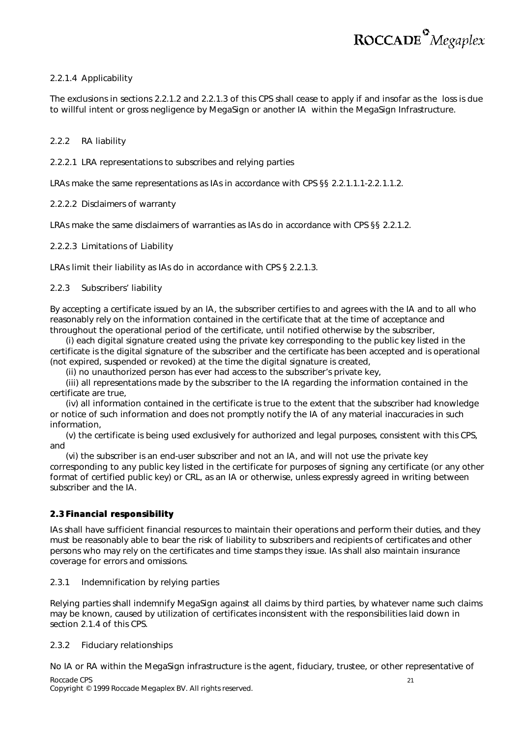#### 2.2.1.4 Applicability

The exclusions in sections 2.2.1.2 and 2.2.1.3 of this CPS shall cease to apply if and insofar as the loss is due to willful intent or gross negligence by MegaSign or another IA within the MegaSign Infrastructure.

#### *2.2.2 RA liability*

2.2.2.1 LRA representations to subscribes and relying parties

LRAs make the same representations as IAs in accordance with CPS §§ 2.2.1.1.1-2.2.1.1.2.

2.2.2.2 Disclaimers of warranty

LRAs make the same disclaimers of warranties as IAs do in accordance with CPS §§ 2.2.1.2.

#### 2.2.2.3 Limitations of Liability

LRAs limit their liability as IAs do in accordance with CPS § 2.2.1.3.

#### *2.2.3 Subscribers' liability*

By accepting a certificate issued by an IA, the subscriber certifies to and agrees with the IA and to all who reasonably rely on the information contained in the certificate that at the time of acceptance and throughout the operational period of the certificate, until notified otherwise by the subscriber,

(i) each digital signature created using the private key corresponding to the public key listed in the certificate is the digital signature of the subscriber and the certificate has been accepted and is operational (not expired, suspended or revoked) at the time the digital signature is created,

(ii) no unauthorized person has ever had access to the subscriber's private key,

(iii) all representations made by the subscriber to the IA regarding the information contained in the certificate are true,

(iv) all information contained in the certificate is true to the extent that the subscriber had knowledge or notice of such information and does not promptly notify the IA of any material inaccuracies in such information,

(v) the certificate is being used exclusively for authorized and legal purposes, consistent with this CPS, and

(vi) the subscriber is an end-user subscriber and not an IA, and will not use the private key corresponding to any public key listed in the certificate for purposes of signing any certificate (or any other format of certified public key) or CRL, as an IA or otherwise, unless expressly agreed in writing between subscriber and the IA.

#### **2.3 Financial responsibility**

IAs shall have sufficient financial resources to maintain their operations and perform their duties, and they must be reasonably able to bear the risk of liability to subscribers and recipients of certificates and other persons who may rely on the certificates and time stamps they issue. IAs shall also maintain insurance coverage for errors and omissions.

#### *2.3.1 Indemnification by relying parties*

Relying parties shall indemnify MegaSign against all claims by third parties, by whatever name such claims may be known, caused by utilization of certificates inconsistent with the responsibilities laid down in section 2.1.4 of this CPS.

#### *2.3.2 Fiduciary relationships*

Roccade CPS 21 No IA or RA within the MegaSign infrastructure is the agent, fiduciary, trustee, or other representative of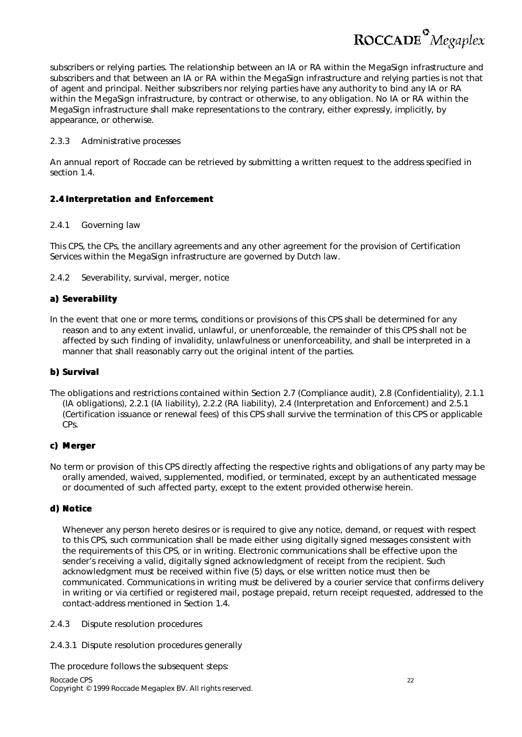ROCCADE<sup>°</sup>Megaplex

subscribers or relying parties. The relationship between an IA or RA within the MegaSign infrastructure and subscribers and that between an IA or RA within the MegaSign infrastructure and relying parties is not that of agent and principal. Neither subscribers nor relying parties have any authority to bind any IA or RA within the MegaSign infrastructure, by contract or otherwise, to any obligation. No IA or RA within the MegaSign infrastructure shall make representations to the contrary, either expressly, implicitly, by appearance, or otherwise.

#### *2.3.3 Administrative processes*

*An annual report of Roccade can be retrieved by submitting a written request to the address specified in section 1.4.*

#### **2.4 Interpretation and Enforcement**

#### *2.4.1 Governing law*

This CPS, the CPs, the ancillary agreements and any other agreement for the provision of Certification Services within the MegaSign infrastructure are governed by Dutch law.

#### *2.4.2 Severability, survival, merger, notice*

#### **a) Severability**

In the event that one or more terms, conditions or provisions of this CPS shall be determined for any reason and to any extent invalid, unlawful, or unenforceable, the remainder of this CPS shall not be affected by such finding of invalidity, unlawfulness or unenforceability, and shall be interpreted in a manner that shall reasonably carry out the original intent of the parties.

#### **b) Survival**

The obligations and restrictions contained within Section 2.7 (Compliance audit), 2.8 (Confidentiality), 2.1.1 (IA obligations), 2.2.1 (IA liability), 2.2.2 (RA liability), 2.4 (Interpretation and Enforcement) and 2.5.1 (Certification issuance or renewal fees) of this CPS shall survive the termination of this CPS or applicable CPs.

#### **c) Merger**

No term or provision of this CPS directly affecting the respective rights and obligations of any party may be orally amended, waived, supplemented, modified, or terminated, except by an authenticated message or documented of such affected party, except to the extent provided otherwise herein.

#### **d) Notice**

Whenever any person hereto desires or is required to give any notice, demand, or request with respect to this CPS, such communication shall be made either using digitally signed messages consistent with the requirements of this CPS, or in writing. Electronic communications shall be effective upon the sender's receiving a valid, digitally signed acknowledgment of receipt from the recipient. Such acknowledgment must be received within five (5) days, or else written notice must then be communicated. Communications in writing must be delivered by a courier service that confirms delivery in writing or via certified or registered mail, postage prepaid, return receipt requested, addressed to the contact-address mentioned in Section 1.4.

#### *2.4.3 Dispute resolution procedures*

2.4.3.1 Dispute resolution procedures generally

Roccade CPS 22 Copyright © 1999 Roccade Megaplex BV. All rights reserved. The procedure follows the subsequent steps: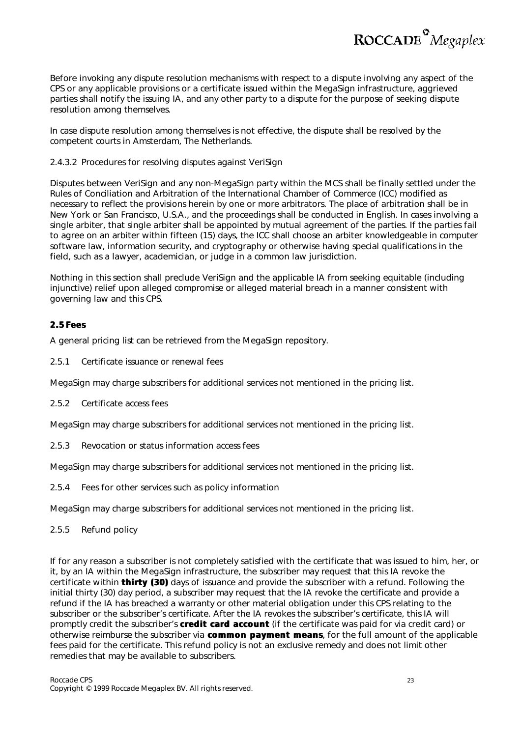

Before invoking any dispute resolution mechanisms with respect to a dispute involving any aspect of the CPS or any applicable provisions or a certificate issued within the MegaSign infrastructure, aggrieved parties shall notify the issuing IA, and any other party to a dispute for the purpose of seeking dispute resolution among themselves.

In case dispute resolution among themselves is not effective, the dispute shall be resolved by the competent courts in Amsterdam, The Netherlands.

#### 2.4.3.2 Procedures for resolving disputes against VeriSign

Disputes between VeriSign and any non-MegaSign party within the MCS shall be finally settled under the Rules of Conciliation and Arbitration of the International Chamber of Commerce (ICC) modified as necessary to reflect the provisions herein by one or more arbitrators. The place of arbitration shall be in New York or San Francisco, U.S.A., and the proceedings shall be conducted in English. In cases involving a single arbiter, that single arbiter shall be appointed by mutual agreement of the parties. If the parties fail to agree on an arbiter within fifteen (15) days, the ICC shall choose an arbiter knowledgeable in computer software law, information security, and cryptography or otherwise having special qualifications in the field, such as a lawyer, academician, or judge in a common law jurisdiction.

Nothing in this section shall preclude VeriSign and the applicable IA from seeking equitable (including injunctive) relief upon alleged compromise or alleged material breach in a manner consistent with governing law and this CPS.

#### **2.5 Fees**

A general pricing list can be retrieved from the MegaSign repository.

*2.5.1 Certificate issuance or renewal fees*

MegaSign may charge subscribers for additional services not mentioned in the pricing list.

*2.5.2 Certificate access fees*

MegaSign may charge subscribers for additional services not mentioned in the pricing list.

*2.5.3 Revocation or status information access fees*

MegaSign may charge subscribers for additional services not mentioned in the pricing list.

*2.5.4 Fees for other services such as policy information*

MegaSign may charge subscribers for additional services not mentioned in the pricing list.

#### *2.5.5 Refund policy*

If for any reason a subscriber is not completely satisfied with the certificate that was issued to him, her, or it, by an IA within the MegaSign infrastructure, the subscriber may request that this IA revoke the certificate within *thirty (30)* days of issuance and provide the subscriber with a refund. Following the initial thirty (30) day period, a subscriber may request that the IA revoke the certificate and provide a refund if the IA has breached a warranty or other material obligation under this CPS relating to the subscriber or the subscriber's certificate. After the IA revokes the subscriber's certificate, this IA will promptly credit the subscriber's *credit card account* (if the certificate was paid for via credit card) or otherwise reimburse the subscriber via *common payment means*, for the full amount of the applicable fees paid for the certificate. This refund policy is not an exclusive remedy and does not limit other remedies that may be available to subscribers.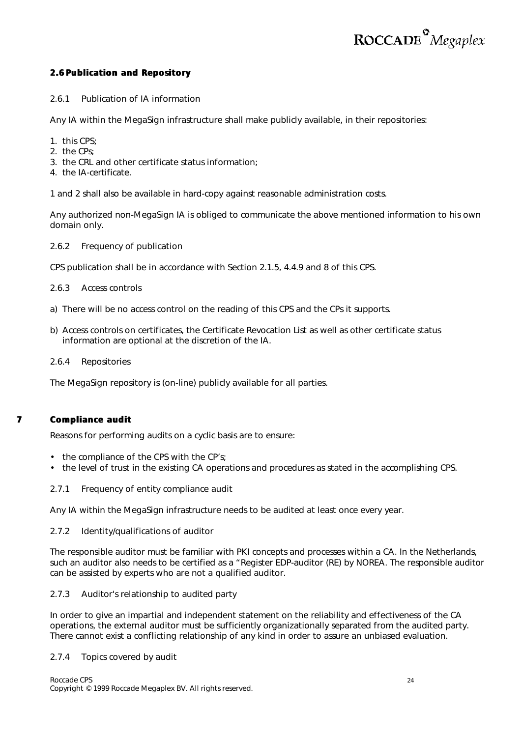#### **2.6 Publication and Repository**

#### *2.6.1 Publication of IA information*

Any IA within the MegaSign infrastructure shall make publicly available, in their repositories:

- 1. this CPS;
- 2. the CPs;
- 3. the CRL and other certificate status information;
- 4. the IA-certificate.

1 and 2 shall also be available in hard-copy against reasonable administration costs.

Any authorized non-MegaSign IA is obliged to communicate the above mentioned information to his own domain only.

#### *2.6.2 Frequency of publication*

CPS publication shall be in accordance with Section 2.1.5, 4.4.9 and 8 of this CPS.

#### *2.6.3 Access controls*

- a) There will be no access control on the reading of this CPS and the CPs it supports.
- b) Access controls on certificates, the Certificate Revocation List as well as other certificate status information are optional at the discretion of the IA.

#### *2.6.4 Repositories*

The MegaSign repository is (on-line) publicly available for all parties.

#### **.7 Compliance audit**

Reasons for performing audits on a cyclic basis are to ensure:

- the compliance of the CPS with the CP's;
- the level of trust in the existing CA operations and procedures as stated in the accomplishing CPS.

#### *2.7.1 Frequency of entity compliance audit*

Any IA within the MegaSign infrastructure needs to be audited at least once every year.

#### *2.7.2 Identity/qualifications of auditor*

The responsible auditor must be familiar with PKI concepts and processes within a CA. In the Netherlands, such an auditor also needs to be certified as a "Register EDP-auditor (RE) by NOREA. The responsible auditor can be assisted by experts who are not a qualified auditor.

#### *2.7.3 Auditor's relationship to audited party*

In order to give an impartial and independent statement on the reliability and effectiveness of the CA operations, the external auditor must be sufficiently organizationally separated from the audited party. There cannot exist a conflicting relationship of any kind in order to assure an unbiased evaluation.

#### *2.7.4 Topics covered by audit*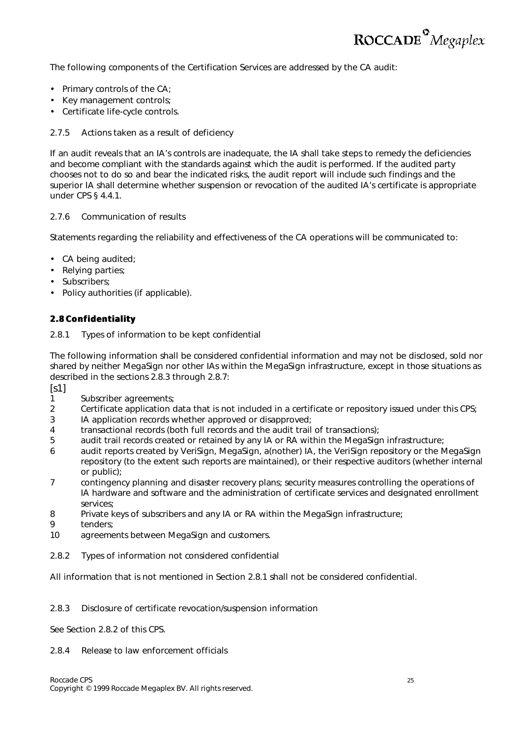

The following components of the Certification Services are addressed by the CA audit:

- Primary controls of the CA;
- Key management controls;
- Certificate life-cycle controls.

#### *2.7.5 Actions taken as a result of deficiency*

If an audit reveals that an IA's controls are inadequate, the IA shall take steps to remedy the deficiencies and become compliant with the standards against which the audit is performed. If the audited party chooses not to do so and bear the indicated risks, the audit report will include such findings and the superior IA shall determine whether suspension or revocation of the audited IA's certificate is appropriate under CPS § 4.4.1.

#### *2.7.6 Communication of results*

Statements regarding the reliability and effectiveness of the CA operations will be communicated to:

- CA being audited;
- Relying parties;
- Subscribers;
- Policy authorities (if applicable).

#### **2.8 Confidentiality**

#### *2.8.1 Types of information to be kept confidential*

The following information shall be considered confidential information and may not be disclosed, sold nor shared by neither MegaSign nor other IAs within the MegaSign infrastructure, except in those situations as described in the sections 2.8.3 through 2.8.7:

 $[s1]$ 

- 1 Subscriber agreements;
- 2 Certificate application data that is not included in a certificate or repository issued under this CPS;
- 3 IA application records whether approved or disapproved;
- 4 transactional records (both full records and the audit trail of transactions);
- 5 audit trail records created or retained by any IA or RA within the MegaSign infrastructure;
- 6 audit reports created by VeriSign, MegaSign, a(nother) IA, the VeriSign repository or the MegaSign repository (to the extent such reports are maintained), or their respective auditors (whether internal or public);
- 7 contingency planning and disaster recovery plans; security measures controlling the operations of IA hardware and software and the administration of certificate services and designated enrollment services;
- 8 Private keys of subscribers and any IA or RA within the MegaSign infrastructure;
- 9 tenders;
- 10 agreements between MegaSign and customers.
- *2.8.2 Types of information not considered confidential*

All information that is not mentioned in Section 2.8.1 shall not be considered confidential.

#### *2.8.3 Disclosure of certificate revocation/suspension information*

See Section 2.8.2 of this CPS.

#### *2.8.4 Release to law enforcement officials*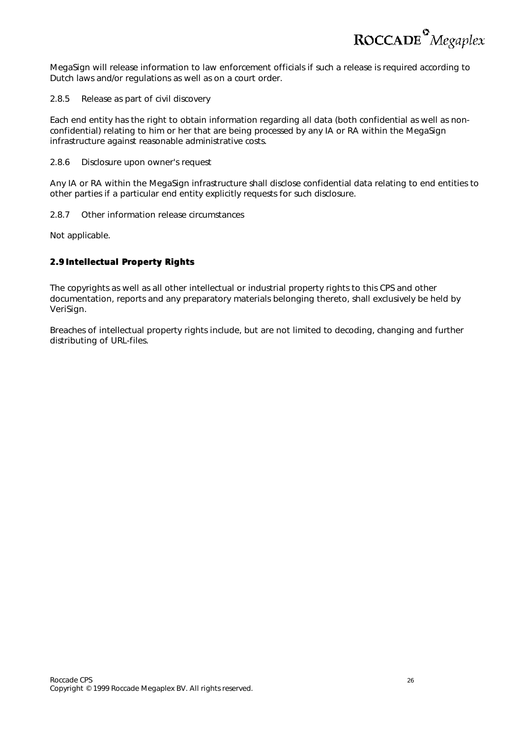ROCCADE<sup>°</sup>Megaplex

MegaSign will release information to law enforcement officials if such a release is required according to Dutch laws and/or regulations as well as on a court order.

#### *2.8.5 Release as part of civil discovery*

Each end entity has the right to obtain information regarding all data (both confidential as well as nonconfidential) relating to him or her that are being processed by any IA or RA within the MegaSign infrastructure against reasonable administrative costs.

#### *2.8.6 Disclosure upon owner's request*

Any IA or RA within the MegaSign infrastructure shall disclose confidential data relating to end entities to other parties if a particular end entity explicitly requests for such disclosure.

#### *2.8.7 Other information release circumstances*

Not applicable.

#### **2.9 Intellectual Property Rights**

The copyrights as well as all other intellectual or industrial property rights to this CPS and other documentation, reports and any preparatory materials belonging thereto, shall exclusively be held by VeriSign.

Breaches of intellectual property rights include, but are not limited to decoding, changing and further distributing of URL-files.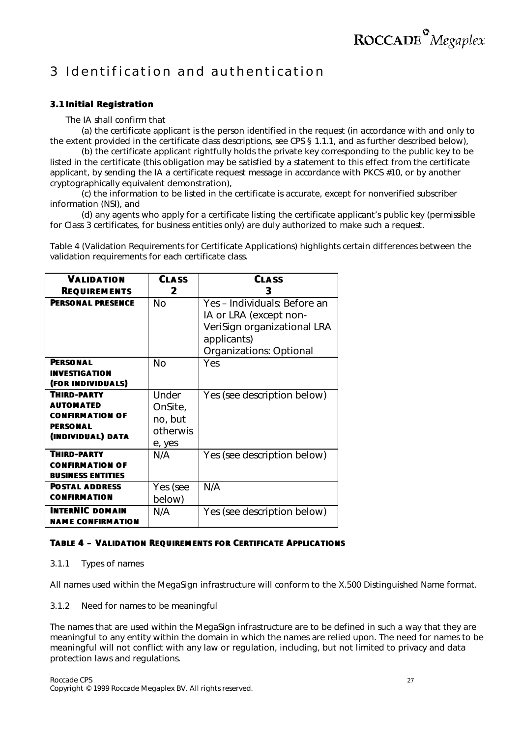### 3 Identification and authentication

#### **3.1 Initial Registration**

The IA shall confirm that

(a) the certificate applicant is the person identified in the request (in accordance with and only to the extent provided in the certificate class descriptions, *see* CPS § 1.1.1, and as further described below),

(b) the certificate applicant rightfully holds the private key corresponding to the public key to be listed in the certificate (this obligation may be satisfied by a statement to this effect from the certificate applicant, by sending the IA a certificate request message in accordance with PKCS #10, or by another cryptographically equivalent demonstration),

(c) the information to be listed in the certificate is accurate, except for nonverified subscriber information (NSI), and

(d) any agents who apply for a certificate listing the certificate applicant's public key (permissible for Class 3 certificates, for business entities only) are duly authorized to make such a request.

Table 4 (Validation Requirements for Certificate Applications) highlights certain differences between the validation requirements for each certificate class.

| <b>VALIDATION</b>                                                                                        | <b>CLASS</b>                                      | <b>CLASS</b>                                                                                                                    |
|----------------------------------------------------------------------------------------------------------|---------------------------------------------------|---------------------------------------------------------------------------------------------------------------------------------|
| <b>REQUIREMENTS</b>                                                                                      | 2                                                 | 3                                                                                                                               |
| <b>PFRSONAL PRESENCE</b>                                                                                 | Nο                                                | Yes - Individuals: Before an<br>IA or LRA (except non-<br>VeriSign organizational LRA<br>applicants)<br>Organizations: Optional |
| <b>PFRSONAL</b><br><b>INVESTIGATION</b><br>(FOR INDIVIDUALS)                                             | <b>No</b>                                         | Yes                                                                                                                             |
| <b>THIRD-PARTY</b><br><b>AUTOMATED</b><br><b>CONFIRMATION OF</b><br><b>PFRSONAL</b><br>(INDIVIDUAL) DATA | Under<br>OnSite,<br>no, but<br>otherwis<br>e, yes | Yes (see description below)                                                                                                     |
| <b>THIRD-PARTY</b><br><b>CONFIRMATION OF</b><br><b>BUSINESS ENTITIES</b>                                 | N/A                                               | Yes (see description below)                                                                                                     |
| <b>POSTAL ADDRESS</b><br><b>CONFIRMATION</b>                                                             | Yes ( <i>see</i><br>below)                        | N/A                                                                                                                             |
| <b>INTERNIC DOMAIN</b><br><b>NAME CONFIRMATION</b>                                                       | N/A                                               | Yes (see description below)                                                                                                     |

#### **TABLE 4 – VALIDATION REQUIREMENTS FOR CERTIFICATE APPLICATIONS**

#### *3.1.1 Types of names*

All names used within the MegaSign infrastructure will conform to the X.500 Distinguished Name format.

#### *3.1.2 Need for names to be meaningful*

The names that are used within the MegaSign infrastructure are to be defined in such a way that they are meaningful to any entity within the domain in which the names are relied upon. The need for names to be meaningful will not conflict with any law or regulation, including, but not limited to privacy and data protection laws and regulations.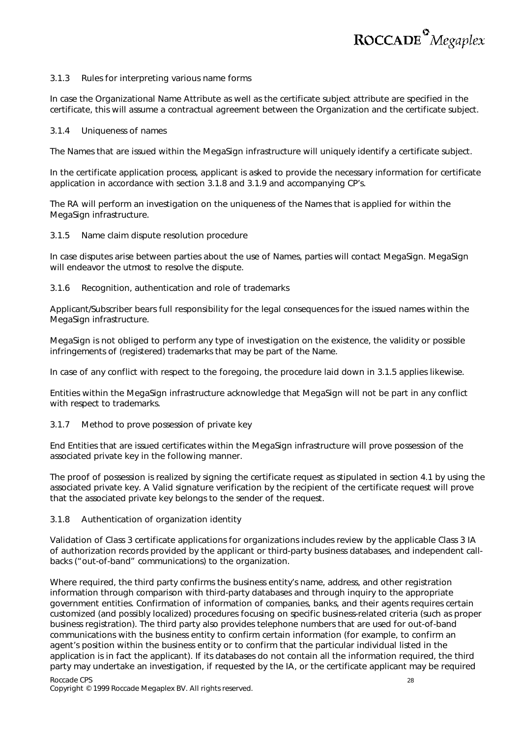

#### *3.1.3 Rules for interpreting various name forms*

In case the Organizational Name Attribute as well as the certificate subject attribute are specified in the certificate, this will assume a contractual agreement between the Organization and the certificate subject.

#### *3.1.4 Uniqueness of names*

The Names that are issued within the MegaSign infrastructure will uniquely identify a certificate subject.

In the certificate application process, applicant is asked to provide the necessary information for certificate application in accordance with section 3.1.8 and 3.1.9 and accompanying CP's.

The RA will perform an investigation on the uniqueness of the Names that is applied for within the MegaSign infrastructure.

#### *3.1.5 Name claim dispute resolution procedure*

In case disputes arise between parties about the use of Names, parties will contact MegaSign. MegaSign will endeavor the utmost to resolve the dispute.

#### *3.1.6 Recognition, authentication and role of trademarks*

Applicant/Subscriber bears full responsibility for the legal consequences for the issued names within the MegaSign infrastructure.

MegaSign is not obliged to perform any type of investigation on the existence, the validity or possible infringements of (registered) trademarks that may be part of the Name.

In case of any conflict with respect to the foregoing, the procedure laid down in 3.1.5 applies likewise.

Entities within the MegaSign infrastructure acknowledge that MegaSign will not be part in any conflict with respect to trademarks.

#### *3.1.7 Method to prove possession of private key*

End Entities that are issued certificates within the MegaSign infrastructure will prove possession of the associated private key in the following manner.

The proof of possession is realized by signing the certificate request as stipulated in section 4.1 by using the associated private key. A Valid signature verification by the recipient of the certificate request will prove that the associated private key belongs to the sender of the request.

#### *3.1.8 Authentication of organization identity*

Validation of Class 3 certificate applications for organizations includes review by the applicable Class 3 IA of authorization records provided by the applicant or third-party business databases, and independent callbacks ("out-of-band" communications) to the organization.

Where required, the third party confirms the business entity's name, address, and other registration information through comparison with third-party databases and through inquiry to the appropriate government entities. Confirmation of information of companies, banks, and their agents requires certain customized (and possibly localized) procedures focusing on specific business-related criteria (such as proper business registration). The third party also provides telephone numbers that are used for out-of-band communications with the business entity to confirm certain information (for example, to confirm an agent's position within the business entity or to confirm that the particular individual listed in the application is in fact the applicant). If its databases do not contain all the information required, the third party may undertake an investigation, if requested by the IA, or the certificate applicant may be required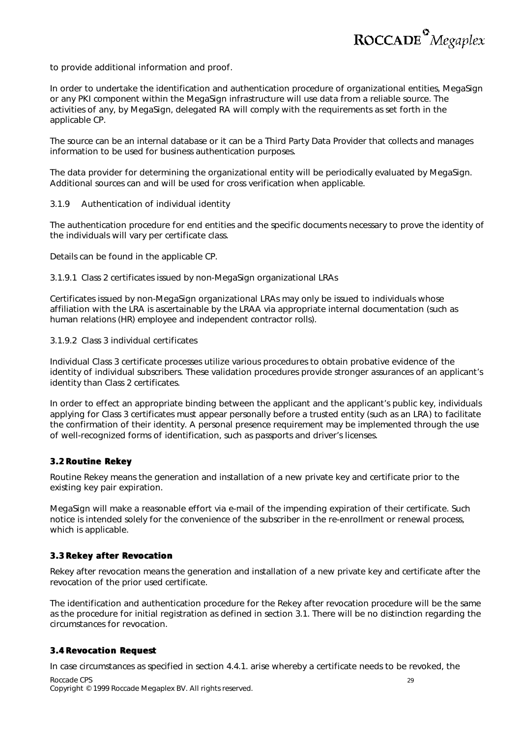to provide additional information and proof.

In order to undertake the identification and authentication procedure of organizational entities, MegaSign or any PKI component within the MegaSign infrastructure will use data from a reliable source. The activities of any, by MegaSign, delegated RA will comply with the requirements as set forth in the applicable CP.

The source can be an internal database or it can be a Third Party Data Provider that collects and manages information to be used for business authentication purposes.

The data provider for determining the organizational entity will be periodically evaluated by MegaSign. Additional sources can and will be used for cross verification when applicable.

#### *3.1.9 Authentication of individual identity*

The authentication procedure for end entities and the specific documents necessary to prove the identity of the individuals will vary per certificate class.

Details can be found in the applicable CP.

3.1.9.1 Class 2 certificates issued by non-MegaSign organizational LRAs

Certificates issued by non-MegaSign organizational LRAs may only be issued to individuals whose affiliation with the LRA is ascertainable by the LRAA via appropriate internal documentation (such as human relations (HR) employee and independent contractor rolls).

3.1.9.2 Class 3 individual certificates

Individual Class 3 certificate processes utilize various procedures to obtain probative evidence of the identity of individual subscribers. These validation procedures provide stronger assurances of an applicant's identity than Class 2 certificates.

In order to effect an appropriate binding between the applicant and the applicant's public key, individuals applying for Class 3 certificates must appear personally before a trusted entity (such as an LRA) to facilitate the confirmation of their identity. A personal presence requirement may be implemented through the use of well-recognized forms of identification, such as passports and driver's licenses.

#### **3.2 Routine Rekey**

Routine Rekey means the generation and installation of a new private key and certificate prior to the existing key pair expiration.

MegaSign will make a reasonable effort via e-mail of the impending expiration of their certificate. Such notice is intended solely for the convenience of the subscriber in the re-enrollment or renewal process, which is applicable.

#### **3.3 Rekey after Revocation**

Rekey after revocation means the generation and installation of a new private key and certificate after the revocation of the prior used certificate.

The identification and authentication procedure for the Rekey after revocation procedure will be the same as the procedure for initial registration as defined in section 3.1. There will be no distinction regarding the circumstances for revocation.

#### **3.4 Revocation Request**

Roccade CPS 29 In case circumstances as specified in section 4.4.1. arise whereby a certificate needs to be revoked, the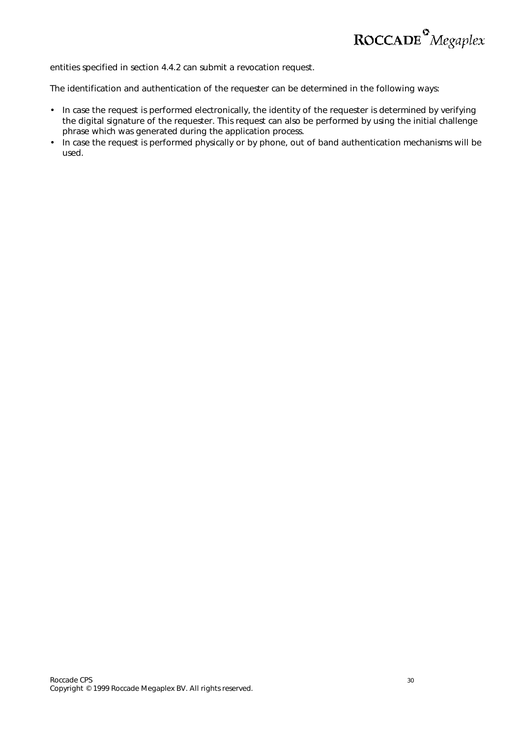

entities specified in section 4.4.2 can submit a revocation request.

The identification and authentication of the requester can be determined in the following ways:

- In case the request is performed electronically, the identity of the requester is determined by verifying the digital signature of the requester. This request can also be performed by using the initial challenge phrase which was generated during the application process.
- In case the request is performed physically or by phone, out of band authentication mechanisms will be used.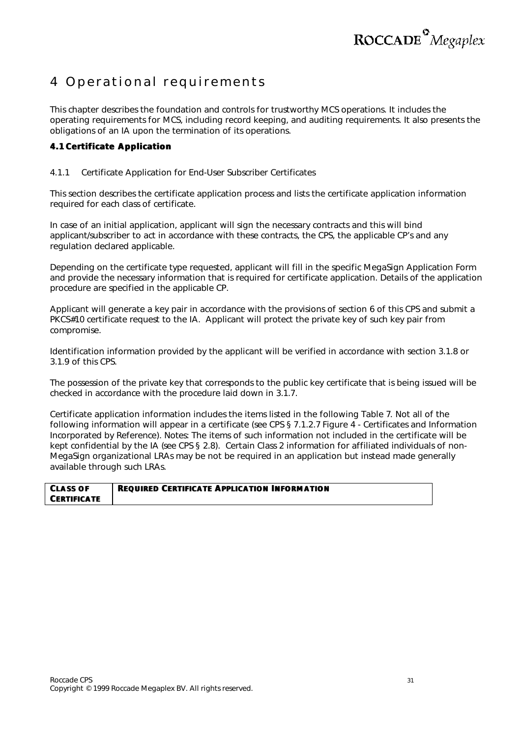

### 4 Operational requirements

This chapter describes the foundation and controls for trustworthy MCS operations. It includes the operating requirements for MCS, including record keeping, and auditing requirements. It also presents the obligations of an IA upon the termination of its operations.

#### **4.1 Certificate Application**

#### *4.1.1 Certificate Application for End-User Subscriber Certificates*

This section describes the certificate application process and lists the certificate application information required for each class of certificate.

In case of an initial application, applicant will sign the necessary contracts and this will bind applicant/subscriber to act in accordance with these contracts, the CPS, the applicable CP's and any regulation declared applicable.

Depending on the certificate type requested, applicant will fill in the specific MegaSign Application Form and provide the necessary information that is required for certificate application. Details of the application procedure are specified in the applicable CP.

Applicant will generate a key pair in accordance with the provisions of section 6 of this CPS and submit a PKCS#10 certificate request to the IA. Applicant will protect the private key of such key pair from compromise.

Identification information provided by the applicant will be verified in accordance with section 3.1.8 or 3.1.9 of this CPS.

The possession of the private key that corresponds to the public key certificate that is being issued will be checked in accordance with the procedure laid down in 3.1.7.

Certificate application information includes the items listed in the following Table 7*. Not all of the following information will appear in a certificate (see* CPS § 7.1.2.7 Figure 4 - Certificates and Information Incorporated by Reference). *Notes*: The items of such information not included in the certificate will be kept confidential by the IA (*see* CPS § 2.8). Certain Class 2 information for affiliated individuals of non-MegaSign organizational LRAs may be not be required in an application but instead made generally available through such LRAs.

| <b>CLASS OF</b>    | <b>REQUIRED CERTIFICATE APPLICATION INFORMATION</b> |
|--------------------|-----------------------------------------------------|
| <b>CERTIFICATE</b> |                                                     |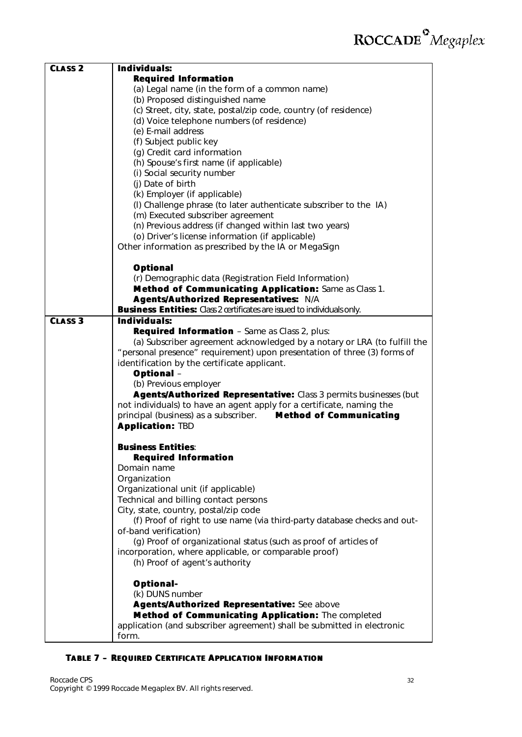| <b>CLASS 2</b> | Individuals:                                                                                                              |
|----------------|---------------------------------------------------------------------------------------------------------------------------|
|                | <b>Required Information</b>                                                                                               |
|                | (a) Legal name (in the form of a common name)<br>(b) Proposed distinguished name                                          |
|                | (c) Street, city, state, postal/zip code, country (of residence)                                                          |
|                | (d) Voice telephone numbers (of residence)                                                                                |
|                | (e) E-mail address                                                                                                        |
|                | (f) Subject public key                                                                                                    |
|                | (g) Credit card information                                                                                               |
|                | (h) Spouse's first name (if applicable)                                                                                   |
|                | (i) Social security number                                                                                                |
|                | (i) Date of birth                                                                                                         |
|                | (k) Employer (if applicable)                                                                                              |
|                | (I) Challenge phrase (to later authenticate subscriber to the IA)                                                         |
|                | (m) Executed subscriber agreement                                                                                         |
|                | (n) Previous address (if changed within last two years)                                                                   |
|                | (o) Driver's license information (if applicable)                                                                          |
|                | Other information as prescribed by the IA or MegaSign                                                                     |
|                |                                                                                                                           |
|                | <b>Optional</b>                                                                                                           |
|                | (r) Demographic data (Registration Field Information)                                                                     |
|                | Method of Communicating Application: Same as Class 1.                                                                     |
|                | Agents/Authorized Representatives: N/A                                                                                    |
|                | <b>Business Entities:</b> Class 2 certificates are issued to individuals only.                                            |
| <b>CLASS 3</b> | Individuals:                                                                                                              |
|                | Required Information - Same as Class 2, plus:<br>(a) Subscriber agreement acknowledged by a notary or LRA (to fulfill the |
|                | "personal presence" requirement) upon presentation of three (3) forms of                                                  |
|                | identification by the certificate applicant.                                                                              |
|                | <b>Optional</b> -                                                                                                         |
|                | (b) Previous employer                                                                                                     |
|                | Agents/Authorized Representative: Class 3 permits businesses (but                                                         |
|                | not individuals) to have an agent apply for a certificate, naming the                                                     |
|                | principal (business) as a subscriber. Method of Communicating                                                             |
|                | <b>Application: TBD</b>                                                                                                   |
|                |                                                                                                                           |
|                | <b>Business Entities:</b>                                                                                                 |
|                | <b>Required Information</b>                                                                                               |
|                | Domain name                                                                                                               |
|                | Organization                                                                                                              |
|                | Organizational unit (if applicable)                                                                                       |
|                | Technical and billing contact persons                                                                                     |
|                | City, state, country, postal/zip code                                                                                     |
|                | (f) Proof of right to use name (via third-party database checks and out-                                                  |
|                | of-band verification)<br>(g) Proof of organizational status (such as proof of articles of                                 |
|                | incorporation, where applicable, or comparable proof)                                                                     |
|                | (h) Proof of agent's authority                                                                                            |
|                |                                                                                                                           |
|                | <b>Optional-</b>                                                                                                          |
|                | (k) DUNS number                                                                                                           |
|                | Agents/Authorized Representative: See above                                                                               |
|                | Method of Communicating Application: The completed                                                                        |
|                | application (and subscriber agreement) shall be submitted in electronic                                                   |
|                | form.                                                                                                                     |

#### **TABLE 7 – REQUIRED CERTIFICATE APPLICATION IINFORMATION**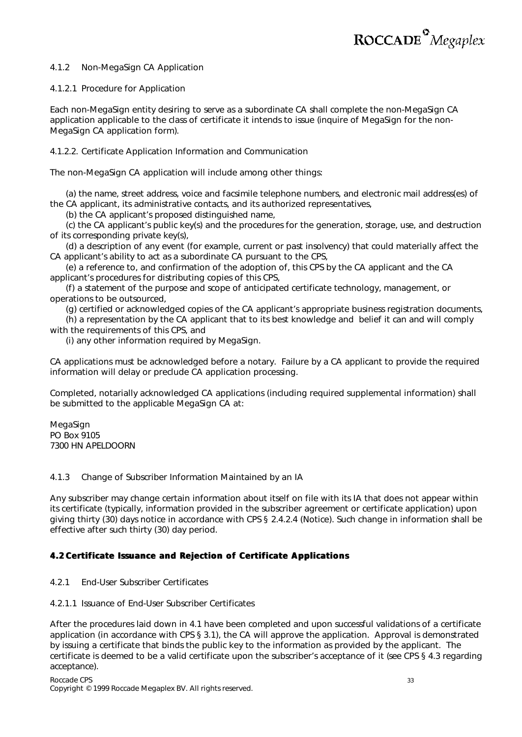

#### *4.1.2 Non-MegaSign CA Application*

#### 4.1.2.1 Procedure for Application

Each non-MegaSign entity desiring to serve as a subordinate CA shall complete the non-MegaSign CA application applicable to the class of certificate it intends to issue (*inquire of MegaSign for the non-MegaSign CA application form*).

#### 4.1.2.2. Certificate Application Information and Communication

The non-MegaSign CA application will include among other things:

(a) the name, street address, voice and facsimile telephone numbers, and electronic mail address(es) of the CA applicant, its administrative contacts, and its authorized representatives,

(b) the CA applicant's proposed distinguished name,

(c) the CA applicant's public key(s) and the procedures for the generation, storage, use, and destruction of its corresponding private key(s),

(d) a description of any event (for example, current or past insolvency) that could materially affect the CA applicant's ability to act as a subordinate CA pursuant to the CPS,

(e) a reference to, and confirmation of the adoption of, this CPS by the CA applicant and the CA applicant's procedures for distributing copies of this CPS,

(f) a statement of the purpose and scope of anticipated certificate technology, management, or operations to be outsourced,

(g) certified or acknowledged copies of the CA applicant's appropriate business registration documents,

(h) a representation by the CA applicant that to its best knowledge and belief it can and will comply with the requirements of this CPS, and

(i) any other information required by MegaSign.

CA applications must be acknowledged before a notary. Failure by a CA applicant to provide the required information will delay or preclude CA application processing.

Completed, notarially acknowledged CA applications (including required supplemental information) shall be submitted to the applicable MegaSign CA at:

MegaSign PO Box 9105 7300 HN APELDOORN

#### *4.1.3 Change of Subscriber Information Maintained by an IA*

Any subscriber may change certain information about itself on file with its IA that does not appear within its certificate (typically, information provided in the subscriber agreement or certificate application) upon giving thirty (30) days notice in accordance with CPS § 2.4.2.4 (Notice). Such change in information shall be effective after such thirty (30) day period.

#### **4.2 Certificate Issuance and Rejection of Certificate Applications**

#### *4.2.1 End-User Subscriber Certificates*

#### 4.2.1.1 Issuance of End-User Subscriber Certificates

After the procedures laid down in 4.1 have been completed and upon successful validations of a certificate application (in accordance with CPS § 3.1), the CA will approve the application. Approval is demonstrated by issuing a certificate that binds the public key to the information as provided by the applicant. The certificate is deemed to be a valid certificate upon the subscriber's acceptance of it (*see* CPS § 4.3 regarding acceptance).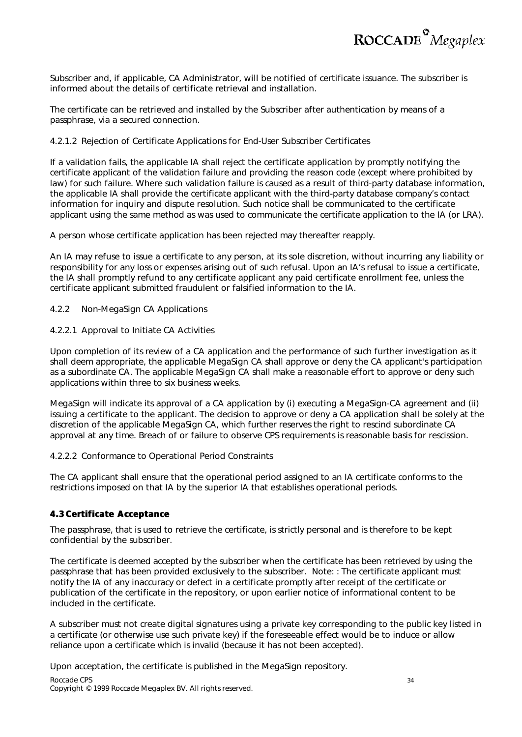

Subscriber and, if applicable, CA Administrator, will be notified of certificate issuance. The subscriber is informed about the details of certificate retrieval and installation.

The certificate can be retrieved and installed by the Subscriber after authentication by means of a passphrase, via a secured connection.

#### 4.2.1.2 Rejection of Certificate Applications for End-User Subscriber Certificates

If a validation fails, the applicable IA shall reject the certificate application by promptly notifying the certificate applicant of the validation failure and providing the reason code (except where prohibited by law) for such failure. Where such validation failure is caused as a result of third-party database information, the applicable IA shall provide the certificate applicant with the third-party database company's contact information for inquiry and dispute resolution. Such notice shall be communicated to the certificate applicant using the same method as was used to communicate the certificate application to the IA (or LRA).

A person whose certificate application has been rejected may thereafter reapply.

An IA may refuse to issue a certificate to any person, at its sole discretion, without incurring any liability or responsibility for any loss or expenses arising out of such refusal. Upon an IA's refusal to issue a certificate, the IA shall promptly refund to any certificate applicant any paid certificate enrollment fee, unless the certificate applicant submitted fraudulent or falsified information to the IA.

#### *4.2.2 Non-MegaSign CA Applications*

#### 4.2.2.1 Approval to Initiate CA Activities

Upon completion of its review of a CA application and the performance of such further investigation as it shall deem appropriate, the applicable MegaSign CA shall approve or deny the CA applicant's participation as a subordinate CA. The applicable MegaSign CA shall make a reasonable effort to approve or deny such applications within three to six business weeks.

MegaSign will indicate its approval of a CA application by (i) executing a MegaSign-CA agreement and (ii) issuing a certificate to the applicant. The decision to approve or deny a CA application shall be solely at the discretion of the applicable MegaSign CA, which further reserves the right to rescind subordinate CA approval at any time. Breach of or failure to observe CPS requirements is reasonable basis for rescission.

#### 4.2.2.2 Conformance to Operational Period Constraints

The CA applicant shall ensure that the operational period assigned to an IA certificate conforms to the restrictions imposed on that IA by the superior IA that establishes operational periods.

#### **4.3 Certificate Acceptance**

The passphrase, that is used to retrieve the certificate, is strictly personal and is therefore to be kept confidential by the subscriber.

The certificate is deemed accepted by the subscriber when the certificate has been retrieved by using the passphrase that has been provided exclusively to the subscriber. Note: : The certificate applicant must notify the IA of any inaccuracy or defect in a certificate promptly after receipt of the certificate or publication of the certificate in the repository, or upon earlier notice of informational content to be included in the certificate.

A subscriber must not create digital signatures using a private key corresponding to the public key listed in a certificate (or otherwise use such private key) if the foreseeable effect would be to induce or allow reliance upon a certificate which is invalid (because it has not been accepted).

Upon acceptation, the certificate is published in the MegaSign repository.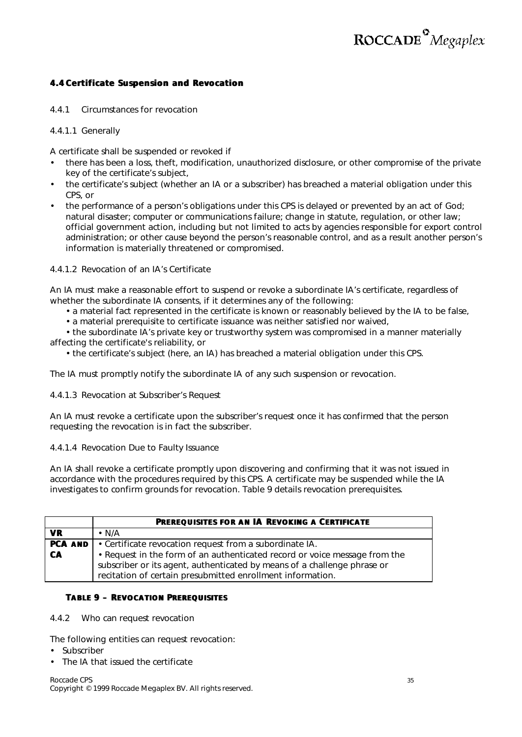#### **4.4 Certificate Suspension and Revocation**

*4.4.1 Circumstances for revocation*

4.4.1.1 Generally

A certificate shall be suspended or revoked if

- there has been a loss, theft, modification, unauthorized disclosure, or other compromise of the private key of the certificate's subject,
- the certificate's subject (whether an IA or a subscriber) has breached a material obligation under this CPS, or
- the performance of a person's obligations under this CPS is delayed or prevented by an act of God; natural disaster; computer or communications failure; change in statute, regulation, or other law; official government action, including but not limited to acts by agencies responsible for export control administration; or other cause beyond the person's reasonable control, and as a result another person's information is materially threatened or compromised.

#### 4.4.1.2 Revocation of an IA's Certificate

An IA must make a reasonable effort to suspend or revoke a subordinate IA's certificate, regardless of whether the subordinate IA consents, if it determines any of the following:

- a material fact represented in the certificate is known or reasonably believed by the IA to be false,
- a material prerequisite to certificate issuance was neither satisfied nor waived,

• the subordinate IA's private key or trustworthy system was compromised in a manner materially affecting the certificate's reliability, or

• the certificate's subject (here, an IA) has breached a material obligation under this CPS.

The IA must promptly notify the subordinate IA of any such suspension or revocation.

4.4.1.3 Revocation at Subscriber's Request

An IA must revoke a certificate upon the subscriber's request once it has confirmed that the person requesting the revocation is in fact the subscriber.

4.4.1.4 Revocation Due to Faulty Issuance

An IA shall revoke a certificate promptly upon discovering and confirming that it was not issued in accordance with the procedures required by this CPS. A certificate may be suspended while the IA investigates to confirm grounds for revocation. Table 9 details revocation prerequisites.

|           | <b>PREREQUISITES FOR AN IA REVOKING A CERTIFICATE</b>                        |
|-----------|------------------------------------------------------------------------------|
| VR.       | $\cdot$ N/A                                                                  |
|           | <b>PCA AND</b> $\cdot$ Certificate revocation request from a subordinate IA. |
| <b>CA</b> | • Request in the form of an authenticated record or voice message from the   |
|           | subscriber or its agent, authenticated by means of a challenge phrase or     |
|           | recitation of certain presubmitted enrollment information.                   |

#### **TABLE 9 – REVOCATION PREREQUISITES**

#### *4.4.2 Who can request revocation*

The following entities can request revocation:

- **Subscriber**
- The IA that issued the certificate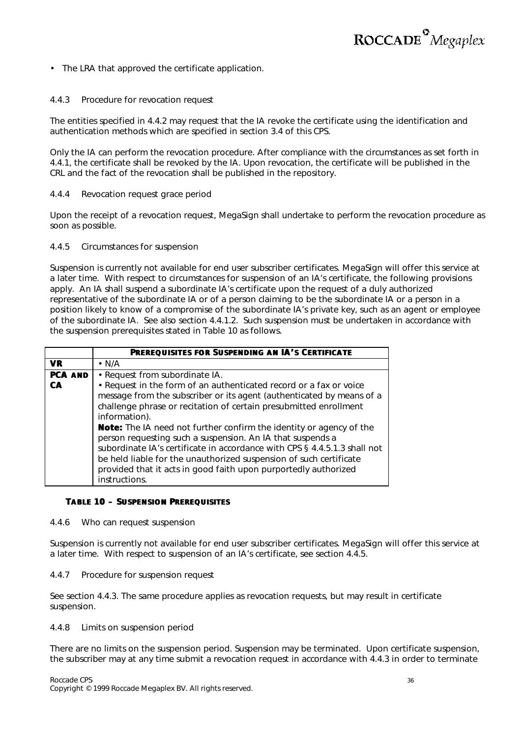

• The LRA that approved the certificate application.

#### *4.4.3 Procedure for revocation request*

The entities specified in 4.4.2 may request that the IA revoke the certificate using the identification and authentication methods which are specified in section 3.4 of this CPS.

Only the IA can perform the revocation procedure. After compliance with the circumstances as set forth in 4.4.1, the certificate shall be revoked by the IA. Upon revocation, the certificate will be published in the CRL and the fact of the revocation shall be published in the repository.

#### *4.4.4 Revocation request grace period*

Upon the receipt of a revocation request, MegaSign shall undertake to perform the revocation procedure as soon as possible.

#### *4.4.5 Circumstances for suspension*

Suspension is currently not available for end user subscriber certificates. MegaSign will offer this service at a later time. With respect to circumstances for suspension of an IA's certificate, the following provisions apply. An IA shall suspend a subordinate IA's certificate upon the request of a duly authorized representative of the subordinate IA or of a person claiming to be the subordinate IA or a person in a position likely to know of a compromise of the subordinate IA's private key, such as an agent or employee of the subordinate IA. *See also* section 4.4.1.2. Such suspension must be undertaken in accordance with the suspension prerequisites stated in Table 10 as follows.

|                | <b>PREREQUISITES FOR SUSPENDING AN IA'S CERTIFICATE</b>                                                                                                                                                                                                                                                                                                                                                                                                                                                                                                                                                              |  |  |
|----------------|----------------------------------------------------------------------------------------------------------------------------------------------------------------------------------------------------------------------------------------------------------------------------------------------------------------------------------------------------------------------------------------------------------------------------------------------------------------------------------------------------------------------------------------------------------------------------------------------------------------------|--|--|
| <b>VR</b>      | $\cdot$ N/A                                                                                                                                                                                                                                                                                                                                                                                                                                                                                                                                                                                                          |  |  |
| <b>PCA AND</b> | • Request from subordinate IA.                                                                                                                                                                                                                                                                                                                                                                                                                                                                                                                                                                                       |  |  |
| CA             | • Request in the form of an authenticated record or a fax or voice<br>message from the subscriber or its agent (authenticated by means of a<br>challenge phrase or recitation of certain presubmitted enrollment<br>information).<br><b>Note:</b> The IA need not further confirm the identity or agency of the<br>person requesting such a suspension. An IA that suspends a<br>subordinate IA's certificate in accordance with CPS § 4.4.5.1.3 shall not<br>be held liable for the unauthorized suspension of such certificate<br>provided that it acts in good faith upon purportedly authorized<br>instructions. |  |  |

#### **TABLE 10 – SUSPENSION PREREQUISITES**

#### *4.4.6 Who can request suspension*

Suspension is currently not available for end user subscriber certificates. MegaSign will offer this service at a later time. With respect to suspension of an IA's certificate, see section 4.4.5.

#### *4.4.7 Procedure for suspension request*

See section 4.4.3. The same procedure applies as revocation requests, but may result in certificate suspension.

#### *4.4.8 Limits on suspension period*

There are no limits on the suspension period. Suspension may be terminated. Upon certificate suspension, the subscriber may at any time submit a revocation request in accordance with 4.4.3 in order to terminate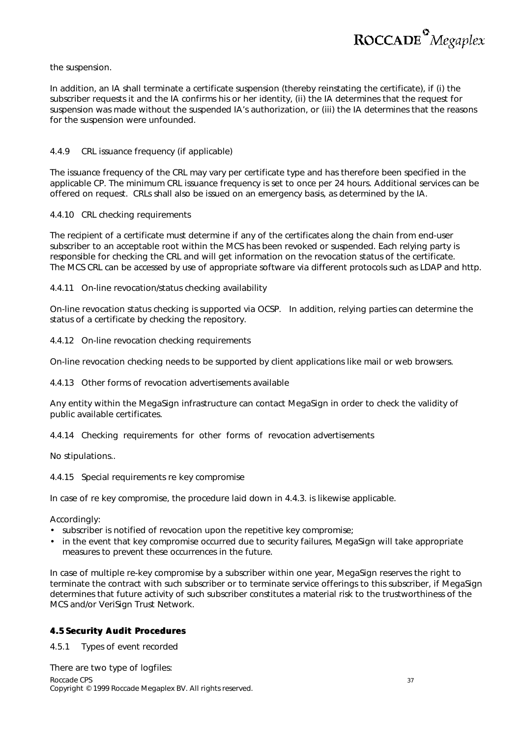

#### the suspension.

In addition, an IA shall terminate a certificate suspension (thereby reinstating the certificate), if (i) the subscriber requests it and the IA confirms his or her identity, (ii) the IA determines that the request for suspension was made without the suspended IA's authorization, or (iii) the IA determines that the reasons for the suspension were unfounded.

#### *4.4.9 CRL issuance frequency (if applicable)*

The issuance frequency of the CRL may vary per certificate type and has therefore been specified in the applicable CP. The minimum CRL issuance frequency is set to once per 24 hours. Additional services can be offered on request. CRLs shall also be issued on an emergency basis, as determined by the IA.

#### *4.4.10 CRL checking requirements*

The recipient of a certificate must determine if any of the certificates along the chain from end-user subscriber to an acceptable root within the MCS has been revoked or suspended. Each relying party is responsible for checking the CRL and will get information on the revocation status of the certificate. The MCS CRL can be accessed by use of appropriate software via different protocols such as LDAP and http.

#### *4.4.11 On-line revocation/status checking availability*

On-line revocation status checking is supported via OCSP. In addition, relying parties can determine the status of a certificate by checking the repository.

#### *4.4.12 On-line revocation checking requirements*

On-line revocation checking needs to be supported by client applications like mail or web browsers.

#### *4.4.13 Other forms of revocation advertisements available*

Any entity within the MegaSign infrastructure can contact MegaSign in order to check the validity of public available certificates.

*4.4.14 Checking requirements for other forms of revocation advertisements*

No stipulations..

#### *4.4.15 Special requirements re key compromise*

In case of re key compromise, the procedure laid down in 4.4.3. is likewise applicable.

Accordingly:

- subscriber is notified of revocation upon the repetitive key compromise;
- in the event that key compromise occurred due to security failures, MegaSign will take appropriate measures to prevent these occurrences in the future.

In case of multiple re-key compromise by a subscriber within one year, MegaSign reserves the right to terminate the contract with such subscriber or to terminate service offerings to this subscriber, if MegaSign determines that future activity of such subscriber constitutes a material risk to the trustworthiness of the MCS and/or VeriSign Trust Network.

#### **4.5 Security Audit Procedures**

*4.5.1 Types of event recorded*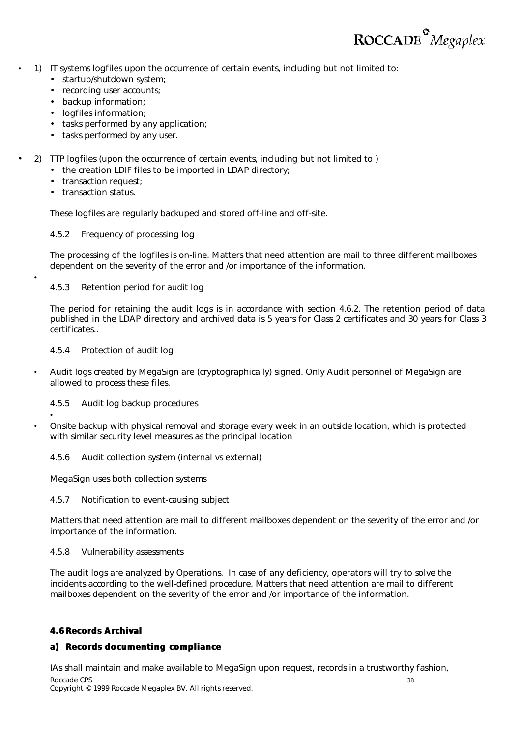

- 1) IT systems logfiles upon the occurrence of certain events, including but not limited to:
	- startup/shutdown system;
	- recording user accounts;
	- backup information;
	- logfiles information:
	- tasks performed by any application;
	- tasks performed by any user.
- 2) TTP logfiles (upon the occurrence of certain events, including but not limited to )
	- the creation LDIF files to be imported in LDAP directory;
	- transaction request;
	- transaction status.

•

•

These logfiles are regularly backuped and stored off-line and off-site.

#### *4.5.2 Frequency of processing log*

The processing of the logfiles is on-line. Matters that need attention are mail to three different mailboxes dependent on the severity of the error and /or importance of the information.

#### *4.5.3 Retention period for audit log*

The period for retaining the audit logs is in accordance with section 4.6.2. The retention period of data published in the LDAP directory and archived data is 5 years for Class 2 certificates and 30 years for Class 3 certificates..

#### *4.5.4 Protection of audit log*

• Audit logs created by MegaSign are (cryptographically) signed. Only Audit personnel of MegaSign are allowed to process these files.

#### *4.5.5 Audit log backup procedures*

• Onsite backup with physical removal and storage every week in an outside location, which is protected with similar security level measures as the principal location

#### *4.5.6 Audit collection system (internal vs external)*

MegaSign uses both collection systems

#### *4.5.7 Notification to event-causing subject*

Matters that need attention are mail to different mailboxes dependent on the severity of the error and /or importance of the information.

#### *4.5.8 Vulnerability assessments*

The audit logs are analyzed by Operations. In case of any deficiency, operators will try to solve the incidents according to the well-defined procedure. Matters that need attention are mail to different mailboxes dependent on the severity of the error and /or importance of the information.

#### **4.6 Records Archival**

#### **a) Records documenting compliance**

Roccade CPS 38 IAs shall maintain and make available to MegaSign upon request, records in a trustworthy fashion,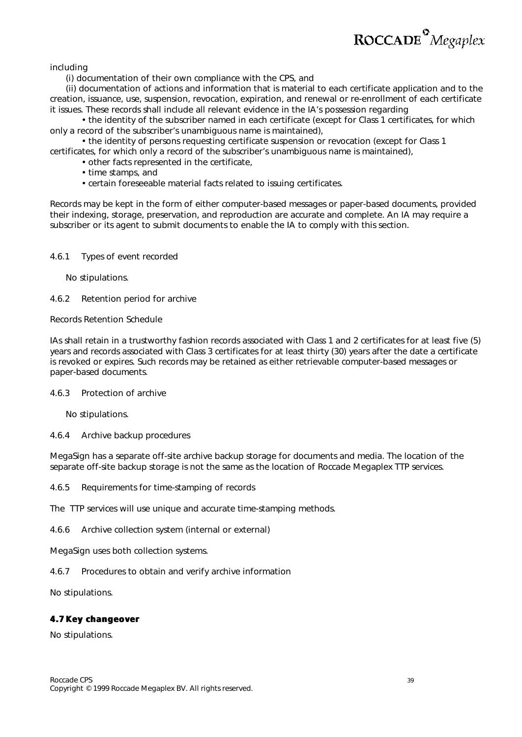including

(i) documentation of their own compliance with the CPS, and

(ii) documentation of actions and information that is material to each certificate application and to the creation, issuance, use, suspension, revocation, expiration, and renewal or re-enrollment of each certificate it issues. These records shall include all relevant evidence in the IA's possession regarding

• the identity of the subscriber named in each certificate (except for Class 1 certificates, for which only a record of the subscriber's unambiguous name is maintained),

• the identity of persons requesting certificate suspension or revocation (except for Class 1 certificates, for which only a record of the subscriber's unambiguous name is maintained),

- other facts represented in the certificate,
	- time stamps, and
	- certain foreseeable material facts related to issuing certificates.

Records may be kept in the form of either computer-based messages or paper-based documents, provided their indexing, storage, preservation, and reproduction are accurate and complete. An IA may require a subscriber or its agent to submit documents to enable the IA to comply with this section.

#### *4.6.1 Types of event recorded*

*No stipulations.*

#### *4.6.2 Retention period for archive*

Records Retention Schedule

IAs shall retain in a trustworthy fashion records associated with Class 1 and 2 certificates for at least five (5) years and records associated with Class 3 certificates for at least thirty (30) years after the date a certificate is revoked or expires. Such records may be retained as either retrievable computer-based messages or paper-based documents.

#### *4.6.3 Protection of archive*

*No stipulations.*

#### *4.6.4 Archive backup procedures*

MegaSign has a separate off-site archive backup storage for documents and media. The location of the separate off-site backup storage is not the same as the location of Roccade Megaplex TTP services.

*4.6.5 Requirements for time-stamping of records*

The TTP services will use unique and accurate time-stamping methods.

*4.6.6 Archive collection system (internal or external)*

MegaSign uses both collection systems.

*4.6.7 Procedures to obtain and verify archive information*

No stipulations.

#### **4.7 Key changeover**

No stipulations.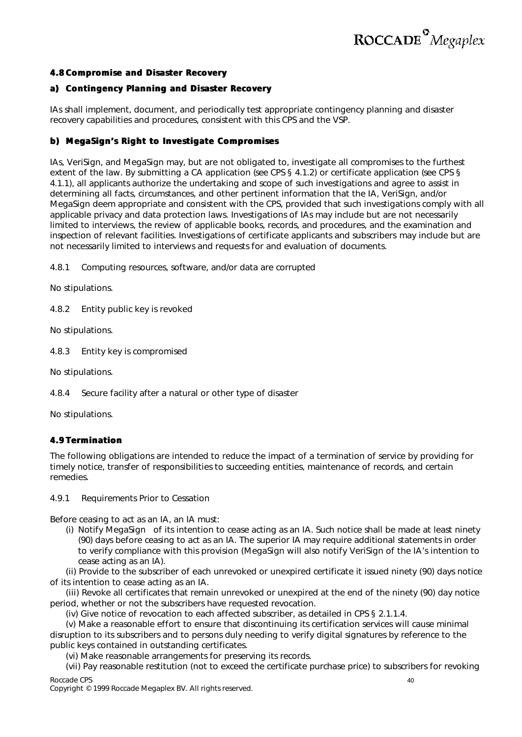

#### **4.8 Compromise and Disaster Recovery**

#### **a) Contingency Planning and Disaster Recovery**

IAs shall implement, document, and periodically test appropriate contingency planning and disaster recovery capabilities and procedures, consistent with this CPS and the VSP.

#### **b) MegaSign's Right to Investigate Compromises**

IAs, VeriSign, and MegaSign may, but are not obligated to, investigate all compromises to the furthest extent of the law. By submitting a CA application (*see* CPS § 4.1.2) or certificate application (*see* CPS § 4.1.1), all applicants authorize the undertaking and scope of such investigations and agree to assist in determining all facts, circumstances, and other pertinent information that the IA, VeriSign, and/or MegaSign deem appropriate and consistent with the CPS, provided that such investigations comply with all applicable privacy and data protection laws. Investigations of IAs may include but are not necessarily limited to interviews, the review of applicable books, records, and procedures, and the examination and inspection of relevant facilities. Investigations of certificate applicants and subscribers may include but are not necessarily limited to interviews and requests for and evaluation of documents.

*4.8.1 Computing resources, software, and/or data are corrupted*

No stipulations.

*4.8.2 Entity public key is revoked*

No stipulations.

*4.8.3 Entity key is compromised*

No stipulations.

*4.8.4 Secure facility after a natural or other type of disaster*

No stipulations.

#### **4.9 Termination**

The following obligations are intended to reduce the impact of a termination of service by providing for timely notice, transfer of responsibilities to succeeding entities, maintenance of records, and certain remedies.

#### *4.9.1 Requirements Prior to Cessation*

Before ceasing to act as an IA, an IA must:

(i) Notify MegaSign of its intention to cease acting as an IA. Such notice shall be made at least ninety (90) days before ceasing to act as an IA. The superior IA may require additional statements in order to verify compliance with this provision (MegaSign will also notify VeriSign of the IA's intention to cease acting as an IA).

(ii) Provide to the subscriber of each unrevoked or unexpired certificate it issued ninety (90) days notice of its intention to cease acting as an IA.

(iii) Revoke all certificates that remain unrevoked or unexpired at the end of the ninety (90) day notice period, whether or not the subscribers have requested revocation.

(iv) Give notice of revocation to each affected subscriber, as detailed in CPS § 2.1.1.4.

(v) Make a reasonable effort to ensure that discontinuing its certification services will cause minimal disruption to its subscribers and to persons duly needing to verify digital signatures by reference to the public keys contained in outstanding certificates.

(vi) Make reasonable arrangements for preserving its records.

Roccade CPS 40 (vii) Pay reasonable restitution (not to exceed the certificate purchase price) to subscribers for revoking

Copyright © 1999 Roccade Megaplex BV. All rights reserved.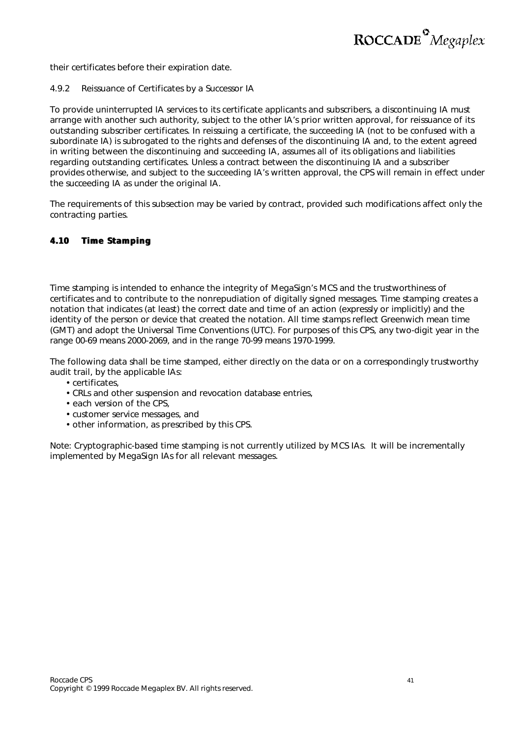

their certificates before their expiration date.

#### *4.9.2 Reissuance of Certificates by a Successor IA*

To provide uninterrupted IA services to its certificate applicants and subscribers, a discontinuing IA must arrange with another such authority, subject to the other IA's prior written approval, for reissuance of its outstanding subscriber certificates. In reissuing a certificate, the succeeding IA (not to be confused with a subordinate IA) is subrogated to the rights and defenses of the discontinuing IA and, to the extent agreed in writing between the discontinuing and succeeding IA, assumes all of its obligations and liabilities regarding outstanding certificates. Unless a contract between the discontinuing IA and a subscriber provides otherwise, and subject to the succeeding IA's written approval, the CPS will remain in effect under the succeeding IA as under the original IA.

The requirements of this subsection may be varied by contract, provided such modifications affect only the contracting parties.

#### **4.10 Time Stamping**

Time stamping is intended to enhance the integrity of MegaSign's MCS and the trustworthiness of certificates and to contribute to the nonrepudiation of digitally signed messages. Time stamping creates a notation that indicates (at least) the correct date and time of an action (expressly or implicitly) and the identity of the person or device that created the notation. All time stamps reflect Greenwich mean time (GMT) and adopt the Universal Time Conventions (UTC). For purposes of this CPS, any two-digit year in the range 00-69 means 2000-2069, and in the range 70-99 means 1970-1999.

The following data shall be time stamped, either directly on the data or on a correspondingly trustworthy audit trail, by the applicable IAs:

- certificates,
- CRLs and other suspension and revocation database entries,
- each version of the CPS,
- customer service messages, and
- other information, as prescribed by this CPS.

Note: *Cryptographic-based time stamping is not currently utilized by MCS IAs. It will be incrementally implemented by MegaSign IAs for all relevant messages.*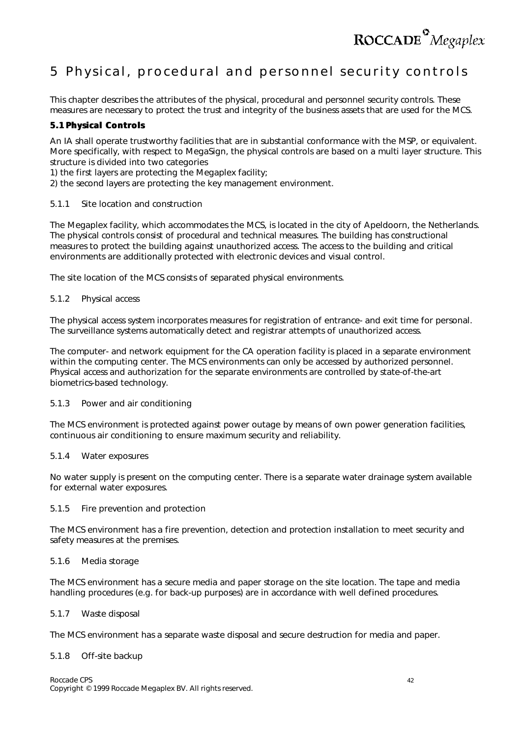

### 5 Physical, procedural and personnel security controls

This chapter describes the attributes of the physical, procedural and personnel security controls. These measures are necessary to protect the trust and integrity of the business assets that are used for the MCS.

#### **5.1 Physical Controls**

An IA shall operate trustworthy facilities that are in substantial conformance with the MSP, or equivalent. More specifically, with respect to MegaSign, the physical controls are based on a multi layer structure. This structure is divided into two categories

1) the first layers are protecting the Megaplex facility;

2) the second layers are protecting the key management environment.

#### *5.1.1 Site location and construction*

The Megaplex facility, which accommodates the MCS, is located in the city of Apeldoorn, the Netherlands. The physical controls consist of procedural and technical measures. The building has constructional measures to protect the building against unauthorized access. The access to the building and critical environments are additionally protected with electronic devices and visual control.

The site location of the MCS consists of separated physical environments.

#### *5.1.2 Physical access*

The physical access system incorporates measures for registration of entrance- and exit time for personal. The surveillance systems automatically detect and registrar attempts of unauthorized access.

The computer- and network equipment for the CA operation facility is placed in a separate environment within the computing center. The MCS environments can only be accessed by authorized personnel. Physical access and authorization for the separate environments are controlled by state-of-the-art biometrics-based technology.

#### *5.1.3 Power and air conditioning*

The MCS environment is protected against power outage by means of own power generation facilities, continuous air conditioning to ensure maximum security and reliability.

#### *5.1.4 Water exposures*

No water supply is present on the computing center. There is a separate water drainage system available for external water exposures.

#### *5.1.5 Fire prevention and protection*

The MCS environment has a fire prevention, detection and protection installation to meet security and safety measures at the premises.

#### *5.1.6 Media storage*

The MCS environment has a secure media and paper storage on the site location. The tape and media handling procedures (e.g. for back-up purposes) are in accordance with well defined procedures.

#### *5.1.7 Waste disposal*

The MCS environment has a separate waste disposal and secure destruction for media and paper.

#### *5.1.8 Off-site backup*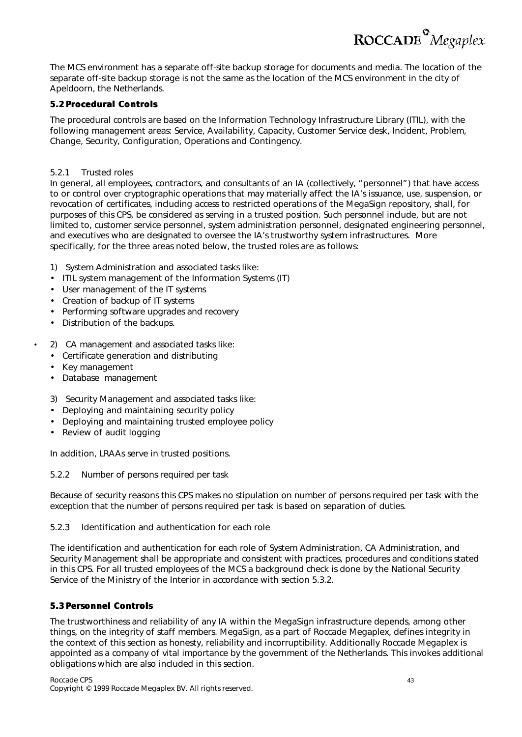The MCS environment has a separate off-site backup storage for documents and media. The location of the separate off-site backup storage is not the same as the location of the MCS environment in the city of Apeldoorn, the Netherlands.

#### **5.2 Procedural Controls**

The procedural controls are based on the Information Technology Infrastructure Library (ITIL), with the following management areas: Service, Availability, Capacity, Customer Service desk, Incident, Problem, Change, Security, Configuration, Operations and Contingency.

#### *5.2.1 Trusted roles*

In general, all employees, contractors, and consultants of an IA (collectively, "personnel") that have access to or control over cryptographic operations that may materially affect the IA's issuance, use, suspension, or revocation of certificates, including access to restricted operations of the MegaSign repository, shall, for purposes of this CPS, be considered as serving in a trusted position. Such personnel include, but are not limited to, customer service personnel, system administration personnel, designated engineering personnel, and executives who are designated to oversee the IA's trustworthy system infrastructures. More specifically, for the three areas noted below, the trusted roles are as follows:

- 1) System Administration and associated tasks like:
- ITIL system management of the Information Systems (IT)
- User management of the IT systems
- Creation of backup of IT systems
- Performing software upgrades and recovery
- Distribution of the backups.
- 2) CA management and associated tasks like:
	- Certificate generation and distributing
	- Key management
	- Database management
	- 3) Security Management and associated tasks like:
	- Deploying and maintaining security policy
	- Deploying and maintaining trusted employee policy
	- Review of audit logging

In addition, LRAAs serve in trusted positions.

#### *5.2.2 Number of persons required per task*

Because of security reasons this CPS makes no stipulation on number of persons required per task with the exception that the number of persons required per task is based on separation of duties.

#### *5.2.3 Identification and authentication for each role*

The identification and authentication for each role of System Administration, CA Administration, and Security Management shall be appropriate and consistent with practices, procedures and conditions stated in this CPS. For all trusted employees of the MCS a background check is done by the National Security Service of the Ministry of the Interior in accordance with section 5.3.2.

#### **5.3 Personnel Controls**

The trustworthiness and reliability of any IA within the MegaSign infrastructure depends, among other things, on the integrity of staff members. MegaSign, as a part of Roccade Megaplex, defines integrity in the context of this section as honesty, reliability and incorruptibility. Additionally Roccade Megaplex is appointed as a company of vital importance by the government of the Netherlands. This invokes additional obligations which are also included in this section.

ROCCADE<sup>°</sup>Megaplex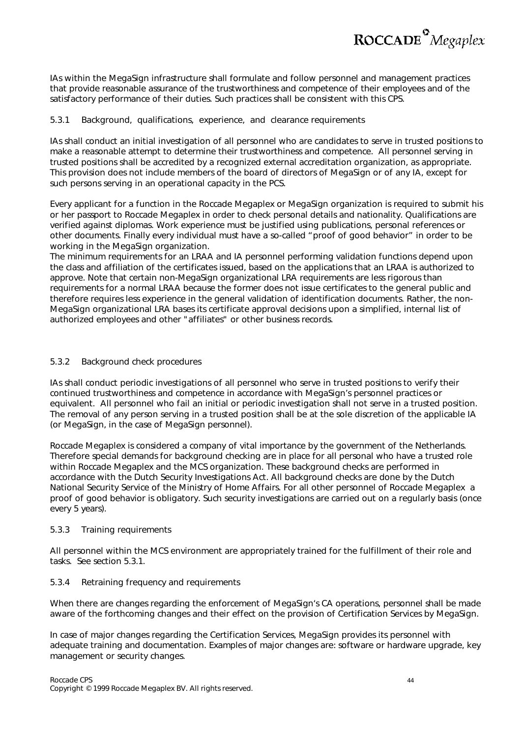

IAs within the MegaSign infrastructure shall formulate and follow personnel and management practices that provide reasonable assurance of the trustworthiness and competence of their employees and of the satisfactory performance of their duties. Such practices shall be consistent with this CPS.

#### *5.3.1 Background, qualifications, experience, and clearance requirements*

IAs shall conduct an initial investigation of all personnel who are candidates to serve in trusted positions to make a reasonable attempt to determine their trustworthiness and competence. All personnel serving in trusted positions shall be accredited by a recognized external accreditation organization, as appropriate. This provision does not include members of the board of directors of MegaSign or of any IA, except for such persons serving in an operational capacity in the PCS.

Every applicant for a function in the Roccade Megaplex or MegaSign organization is required to submit his or her passport to Roccade Megaplex in order to check personal details and nationality. Qualifications are verified against diplomas. Work experience must be justified using publications, personal references or other documents. Finally every individual must have a so-called "proof of good behavior" in order to be working in the MegaSign organization.

The minimum requirements for an LRAA and IA personnel performing validation functions depend upon the class and affiliation of the certificates issued, based on the applications that an LRAA is authorized to approve. Note that certain non-MegaSign organizational LRA requirements are less rigorous than requirements for a normal LRAA because the former does not issue certificates to the general public and therefore requires less experience in the general validation of identification documents. Rather, the non-MegaSign organizational LRA bases its certificate approval decisions upon a simplified, internal list of authorized employees and other "affiliates" or other business records.

#### *5.3.2 Background check procedures*

IAs shall conduct periodic investigations of all personnel who serve in trusted positions to verify their continued trustworthiness and competence in accordance with MegaSign's personnel practices or equivalent. All personnel who fail an initial or periodic investigation shall not serve in a trusted position. The removal of any person serving in a trusted position shall be at the sole discretion of the applicable IA (or MegaSign, in the case of MegaSign personnel).

Roccade Megaplex is considered a company of vital importance by the government of the Netherlands. Therefore special demands for background checking are in place for all personal who have a trusted role within Roccade Megaplex and the MCS organization. These background checks are performed in accordance with the Dutch Security Investigations Act. All background checks are done by the Dutch National Security Service of the Ministry of Home Affairs. For all other personnel of Roccade Megaplex a proof of good behavior is obligatory. Such security investigations are carried out on a regularly basis (once every 5 years).

#### *5.3.3 Training requirements*

All personnel within the MCS environment are appropriately trained for the fulfillment of their role and tasks. See section 5.3.1.

#### *5.3.4 Retraining frequency and requirements*

When there are changes regarding the enforcement of MegaSign's CA operations, personnel shall be made aware of the forthcoming changes and their effect on the provision of Certification Services by MegaSign.

In case of *major changes* regarding the Certification Services, MegaSign provides its personnel with adequate training and documentation. Examples of major changes are: software or hardware upgrade, key management or security changes.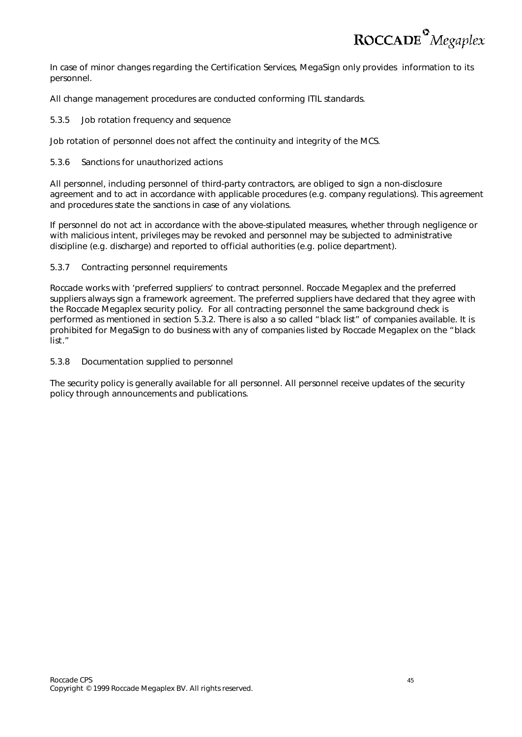

In case of *minor changes* regarding the Certification Services, MegaSign only provides information to its personnel.

All change management procedures are conducted conforming ITIL standards.

#### *5.3.5 Job rotation frequency and sequence*

Job rotation of personnel does not affect the continuity and integrity of the MCS.

#### *5.3.6 Sanctions for unauthorized actions*

All personnel, including personnel of third-party contractors, are obliged to sign a non-disclosure agreement and to act in accordance with applicable procedures (e.g. company regulations). This agreement and procedures state the sanctions in case of any violations.

If personnel do not act in accordance with the above-stipulated measures, whether through negligence or with malicious intent, privileges may be revoked and personnel may be subjected to administrative discipline (e.g. discharge) and reported to official authorities (e.g. police department).

#### *5.3.7 Contracting personnel requirements*

Roccade works with 'preferred suppliers' to contract personnel. Roccade Megaplex and the preferred suppliers always sign a framework agreement. The preferred suppliers have declared that they agree with the Roccade Megaplex security policy. For all contracting personnel the same background check is performed as mentioned in section 5.3.2. There is also a so called "black list" of companies available. It is prohibited for MegaSign to do business with any of companies listed by Roccade Megaplex on the "black list."

#### *5.3.8 Documentation supplied to personnel*

The security policy is generally available for all personnel. All personnel receive updates of the security policy through announcements and publications.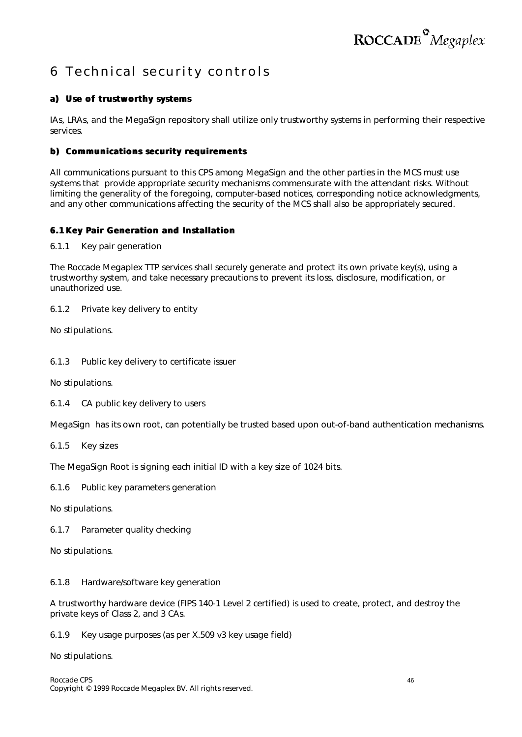### 6 Technical security controls

### **a) Use of trustworthy systems**

IAs, LRAs, and the MegaSign repository shall utilize only trustworthy systems in performing their respective services.

#### **b) Communications security requirements**

All communications pursuant to this CPS among MegaSign and the other parties in the MCS must use systems that provide appropriate security mechanisms commensurate with the attendant risks. Without limiting the generality of the foregoing, computer-based notices, corresponding notice acknowledgments, and any other communications affecting the security of the MCS shall also be appropriately secured.

#### **6.1 Key Pair Generation and Installation**

*6.1.1 Key pair generation*

The Roccade Megaplex TTP services shall securely generate and protect its own private key(s), using a trustworthy system, and take necessary precautions to prevent its loss, disclosure, modification, or unauthorized use.

*6.1.2 Private key delivery to entity*

No stipulations.

*6.1.3 Public key delivery to certificate issuer*

No stipulations.

*6.1.4 CA public key delivery to users*

MegaSign has its own root, can potentially be trusted based upon out-of-band authentication mechanisms.

*6.1.5 Key sizes*

The MegaSign Root is signing each initial ID with a key size of 1024 bits.

*6.1.6 Public key parameters generation*

No stipulations.

*6.1.7 Parameter quality checking*

No stipulations.

*6.1.8 Hardware/software key generation*

A trustworthy hardware device (FIPS 140-1 Level 2 certified) is used to create, protect, and destroy the private keys of Class 2, and 3 CAs.

*6.1.9 Key usage purposes (as per X.509 v3 key usage field)*

No stipulations.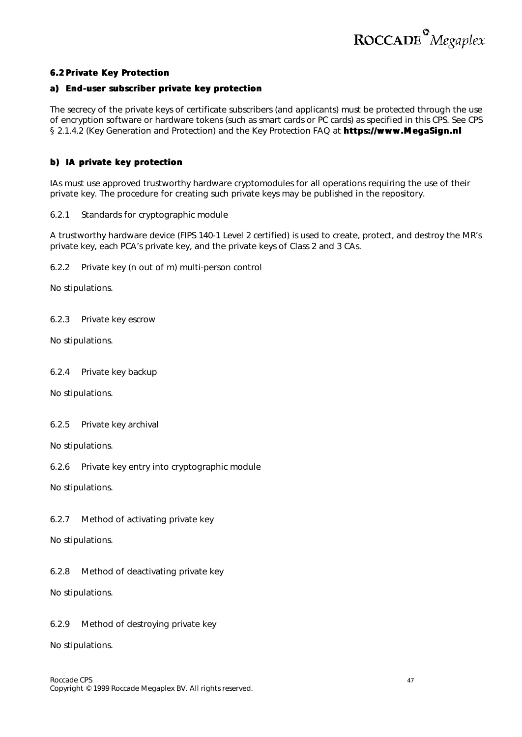

#### **6.2 Private Key Protection**

#### **a) End-user subscriber private key protection**

The secrecy of the private keys of certificate subscribers (and applicants) must be protected through the use of encryption software or hardware tokens (such as smart cards or PC cards) as specified in this CPS. *See* CPS § 2.1.4.2 (Key Generation and Protection) and the Key Protection FAQ at **https://www.MegaSign.nl**

#### **b) IA private key protection**

IAs must use approved trustworthy hardware cryptomodules for all operations requiring the use of their private key. The procedure for creating such private keys may be published in the repository.

#### *6.2.1 Standards for cryptographic module*

A trustworthy hardware device (FIPS 140-1 Level 2 certified) is used to create, protect, and destroy the MR's private key, each PCA's private key, and the private keys of Class 2 and 3 CAs.

*6.2.2 Private key (n out of m) multi-person control*

No stipulations.

*6.2.3 Private key escrow*

No stipulations.

*6.2.4 Private key backup*

No stipulations.

#### *6.2.5 Private key archival*

No stipulations.

*6.2.6 Private key entry into cryptographic module*

No stipulations.

*6.2.7 Method of activating private key*

No stipulations.

*6.2.8 Method of deactivating private key*

No stipulations.

#### *6.2.9 Method of destroying private key*

No stipulations.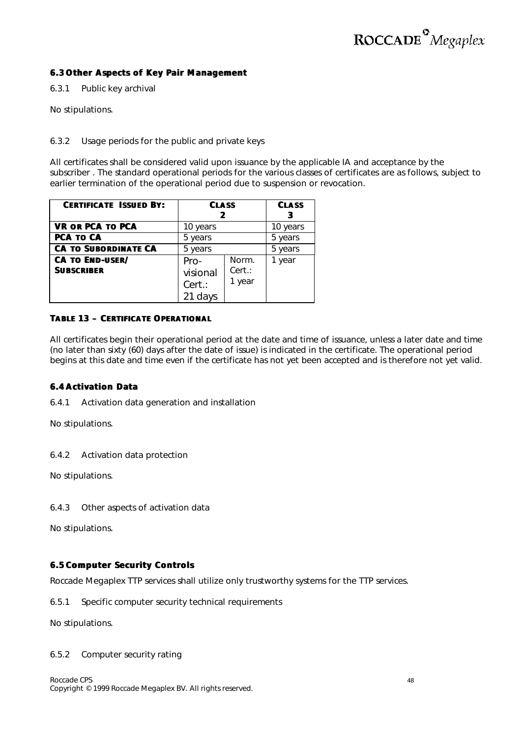#### **6.3 Other Aspects of Key Pair Management**

*6.3.1 Public key archival*

No stipulations.

#### *6.3.2 Usage periods for the public and private keys*

All certificates shall be considered valid upon issuance by the applicable IA and acceptance by the subscriber . The standard operational periods for the various classes of certificates are as follows, subject to earlier termination of the operational period due to suspension or revocation.

| <b>CERTIFICATE ISSUED BY:</b> | <b>CLASS</b>       |                  | <b>CLASS</b> |
|-------------------------------|--------------------|------------------|--------------|
| <b>VR OR PCA TO PCA</b>       | 10 years           |                  | 10 years     |
| PCA TO CA                     | 5 years            |                  | 5 years      |
| <b>CA TO SUBORDINATE CA</b>   | 5 years            |                  | 5 years      |
| <b>CA TO END-USER/</b>        | Pro-               | Norm.            | 1 year       |
| <b>SUBSCRIBER</b>             | visional<br>Cert.: | Cert.:<br>1 year |              |

#### **TABLE 13 – CERTIFICATE OPERATIONAL**

All certificates begin their operational period at the date and time of issuance, unless a later date and time (no later than sixty (60) days after the date of issue) is indicated in the certificate. The operational period begins at this date and time even if the certificate has not yet been accepted and is therefore not yet valid.

#### **6.4 Activation Data**

*6.4.1 Activation data generation and installation*

No stipulations.

#### *6.4.2 Activation data protection*

No stipulations.

*6.4.3 Other aspects of activation data*

No stipulations.

#### **6.5 Computer Security Controls**

Roccade Megaplex TTP services shall utilize only trustworthy systems for the TTP services.

*6.5.1 Specific computer security technical requirements*

No stipulations.

#### *6.5.2 Computer security rating*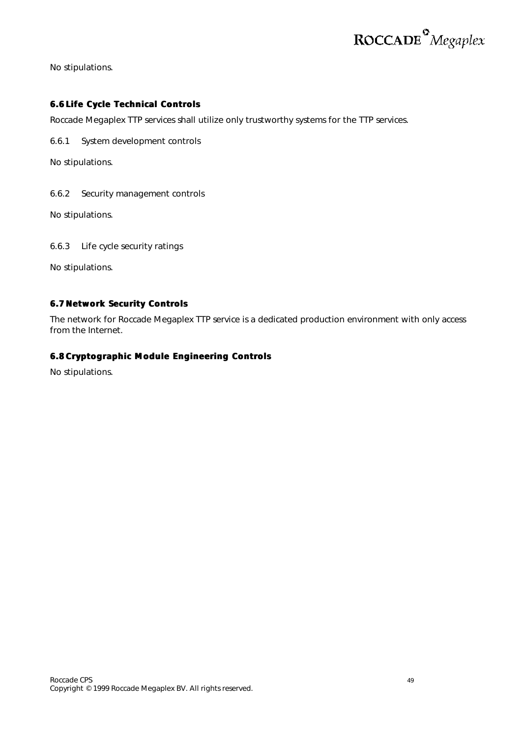No stipulations.

#### **6.6 Life Cycle Technical Controls**

Roccade Megaplex TTP services shall utilize only trustworthy systems for the TTP services.

*6.6.1 System development controls*

No stipulations.

*6.6.2 Security management controls*

No stipulations.

*6.6.3 Life cycle security ratings*

No stipulations.

#### **6.7 Network Security Controls**

The network for Roccade Megaplex TTP service is a dedicated production environment with only access from the Internet.

#### **6.8 Cryptographic Module Engineering Controls**

No stipulations.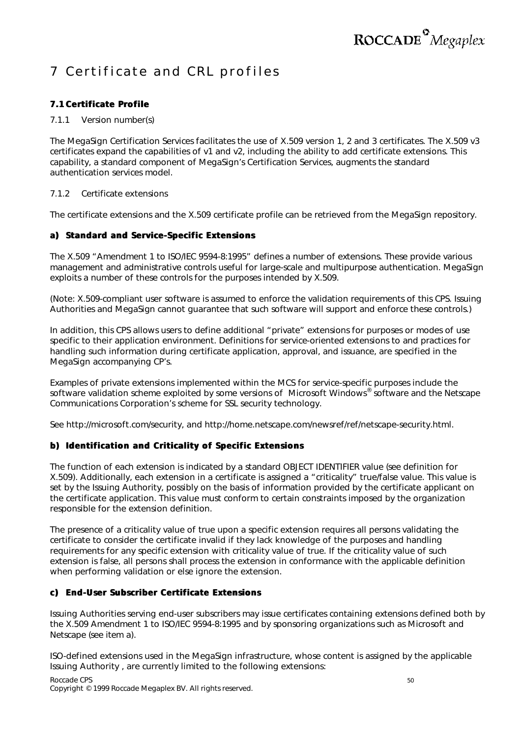### 7 Certificate and CRL profiles

#### **7.1 Certificate Profile**

#### *7.1.1 Version number(s)*

The MegaSign Certification Services facilitates the use of X.509 version 1, 2 and 3 certificates. The X.509 v3 certificates expand the capabilities of v1 and v2, including the ability to add certificate extensions. This capability, a standard component of MegaSign's Certification Services, augments the standard authentication services model.

#### *7.1.2 Certificate extensions*

The certificate extensions and the X.509 certificate profile can be retrieved from the MegaSign repository.

#### **a) Standard and Service-Specific Extensions**

The X.509 "Amendment 1 to ISO/IEC 9594-8:1995" defines a number of extensions. These provide various management and administrative controls useful for large-scale and multipurpose authentication. MegaSign exploits a number of these controls for the purposes intended by X.509.

(Note: X.509-compliant user software is assumed to enforce the validation requirements of this CPS. Issuing Authorities and MegaSign cannot guarantee that such software will support and enforce these controls.)

In addition, this CPS allows users to define additional "private" extensions for purposes or modes of use specific to their application environment. Definitions for service-oriented extensions to and practices for handling such information during certificate application, approval, and issuance, are specified in the MegaSign accompanying CP's.

Examples of private extensions implemented within the MCS for service-specific purposes include the software validation scheme exploited by some versions of Microsoft Windows® software and the Netscape Communications Corporation's scheme for SSL security technology.

*See* http://microsoft.com/security, and http://home.netscape.com/newsref/ref/netscape-security.html.

#### **b) Identification and Criticality of Specific Extensions**

The function of each extension is indicated by a standard OBJECT IDENTIFIER value (*see* definition for X.509). Additionally, each extension in a certificate is assigned a "criticality" true/false value. This value is set by the Issuing Authority, possibly on the basis of information provided by the certificate applicant on the certificate application. This value must conform to certain constraints imposed by the organization responsible for the extension definition.

The presence of a criticality value of *true* upon a specific extension requires all persons validating the certificate to consider the certificate invalid if they lack knowledge of the purposes and handling requirements for any specific extension with criticality value of *true*. If the criticality value of such extension is *false*, all persons shall process the extension in conformance with the applicable definition when performing validation or else ignore the extension.

#### **c) End-User Subscriber Certificate Extensions**

Issuing Authorities serving end-user subscribers may issue certificates containing extensions defined both by the X.509 Amendment 1 to ISO/IEC 9594-8:1995 and by sponsoring organizations such as Microsoft and Netscape (*see* item a).

ISO-defined extensions used in the MegaSign infrastructure, whose content is assigned by the applicable Issuing Authority , are currently limited to the following extensions: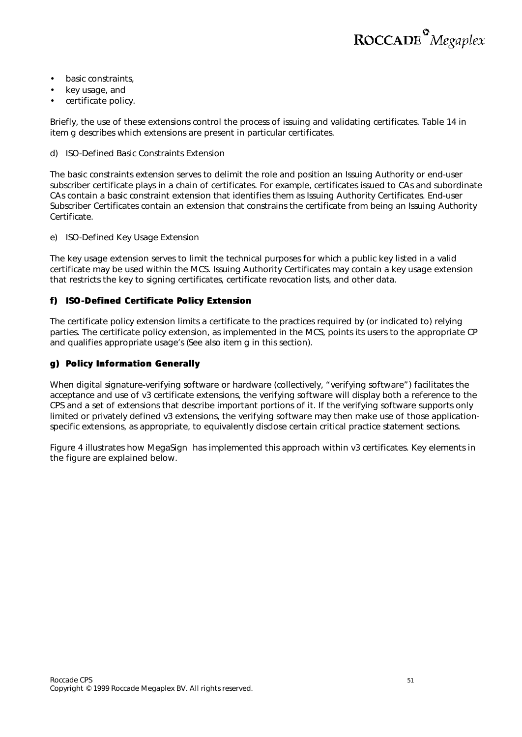- basic constraints,
- key usage, and
- certificate policy.

Briefly, the use of these extensions control the process of issuing and validating certificates. Table 14 in item g describes which extensions are present in particular certificates.

d) ISO-Defined Basic Constraints Extension

The basic constraints extension serves to delimit the role and position an Issuing Authority or end-user subscriber certificate plays in a chain of certificates. For example, certificates issued to CAs and subordinate CAs contain a basic constraint extension that identifies them as Issuing Authority Certificates. End-user Subscriber Certificates contain an extension that constrains the certificate from being an Issuing Authority Certificate.

#### e) ISO-Defined Key Usage Extension

The key usage extension serves to limit the technical purposes for which a public key listed in a valid certificate may be used within the MCS. Issuing Authority Certificates may contain a key usage extension that restricts the key to signing certificates, certificate revocation lists, and other data.

#### **f) ISO-Defined Certificate Policy Extension**

The certificate policy extension limits a certificate to the practices required by (or indicated to) relying parties. The certificate policy extension, as implemented in the MCS, points its users to the appropriate CP and qualifies appropriate usage's (*See also* item g in this section).

#### **g) Policy Information Generally**

When digital signature-verifying software or hardware (collectively, "verifying software") facilitates the acceptance and use of v3 certificate extensions, the verifying software will display both a reference to the CPS and a set of extensions that describe important portions of it. If the verifying software supports only limited or privately defined v3 extensions, the verifying software may then make use of those applicationspecific extensions, as appropriate, to equivalently disclose certain critical practice statement sections.

Figure 4 illustrates how MegaSign has implemented this approach within v3 certificates. Key elements in the figure are explained below.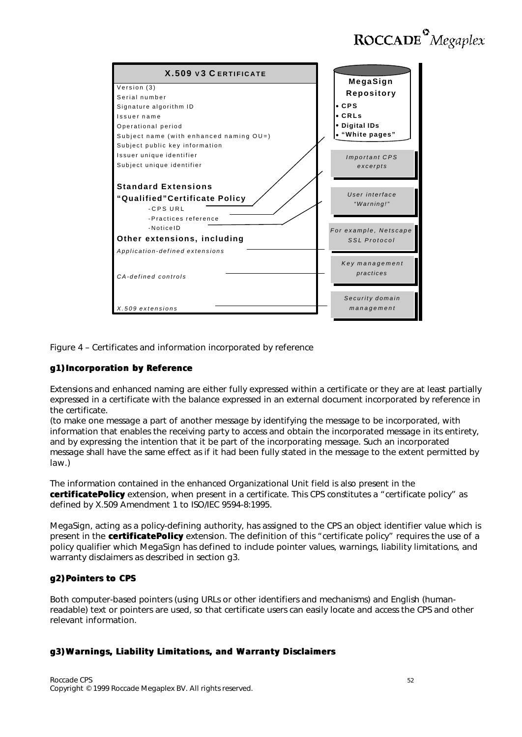| <b>X.509 v3 CERTIFICATE</b>               | MegaSign                     |
|-------------------------------------------|------------------------------|
| Version (3)                               |                              |
| Serial number                             | Repository                   |
| Signature algorithm ID                    | CPS                          |
| Issuername                                | CRLs                         |
| Operational period                        | • Digital IDs                |
| Subject name (with enhanced naming OU=)   | "White pages"                |
| Subject public key information            |                              |
| Issuer unique identifier                  | <b>Important CPS</b>         |
| Subject unique identifier                 | excerpts                     |
|                                           |                              |
| <b>Standard Extensions</b>                |                              |
| "Qualified"Certificate Policy<br>-CPS URL | User interface<br>"Warning!" |
| -Practices reference<br>-Notice ID        | For example, Netscape        |
| Other extensions, including               | SSL Protocol                 |
| Application-defined extensions            |                              |
|                                           | Key management<br>practices  |
| CA-defined controls                       |                              |
|                                           |                              |
|                                           | Security domain              |
| X.509 extensions                          | management                   |

Figure 4 – Certificates and information incorporated by reference

#### **g1) Incorporation by Reference**

Extensions and enhanced naming are either fully expressed within a certificate or they are at least partially expressed in a certificate with the balance expressed in an external document incorporated by reference in the certificate.

(to make one message a part of another message by identifying the message to be incorporated, with information that enables the receiving party to access and obtain the incorporated message in its entirety, and by expressing the intention that it be part of the incorporating message. Such an incorporated message shall have the same effect as if it had been fully stated in the message to the extent permitted by law.)

The information contained in the enhanced Organizational Unit field is also present in the **certificatePolicy** extension, when present in a certificate. This CPS constitutes a "certificate policy" as defined by X.509 Amendment 1 to ISO/IEC 9594-8:1995.

MegaSign, acting as a policy-defining authority, has assigned to the CPS an object identifier value which is present in the **certificatePolicy** extension. The definition of this "certificate policy" requires the use of a policy qualifier which MegaSign has defined to include pointer values, warnings, liability limitations, and warranty disclaimers as described in section g3.

#### **g2) Pointers to CPS**

Both computer-based pointers (using URLs or other identifiers and mechanisms) and English (humanreadable) text or pointers are used, so that certificate users can easily locate and access the CPS and other relevant information.

#### **g3) Warnings, Liability Limitations, and Warranty Disclaimers**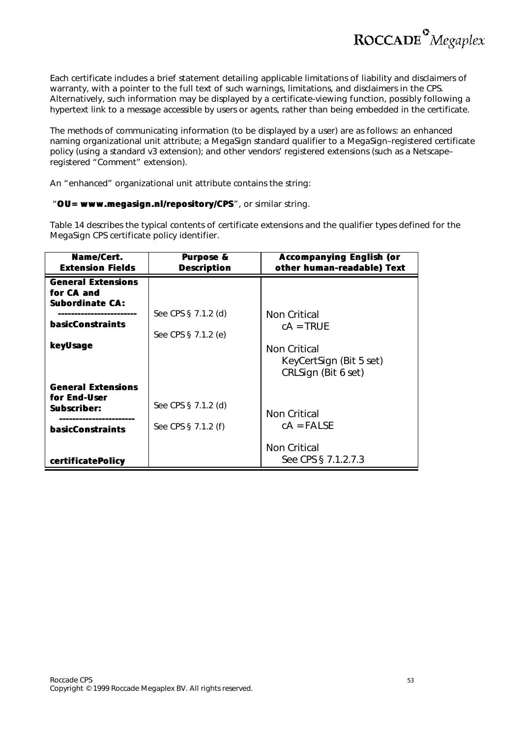

Each certificate includes a brief statement detailing applicable limitations of liability and disclaimers of warranty, with a pointer to the full text of such warnings, limitations, and disclaimers in the CPS. Alternatively, such information may be displayed by a certificate-viewing function, possibly following a hypertext link to a message accessible by users or agents, rather than being embedded in the certificate.

The methods of communicating information (to be displayed by a user) are as follows: an enhanced naming organizational unit attribute; a MegaSign standard qualifier to a MegaSign–registered certificate policy (using a standard v3 extension); and other vendors' registered extensions (such as a Netscape– registered "Comment" extension).

An "enhanced" organizational unit attribute contains the string:

#### "**OU= www.megasign.nl/repository/CPS**", or similar string.

Table 14 describes the typical contents of certificate extensions and the qualifier types defined for the MegaSign CPS certificate policy identifier.

| Name/Cert.<br><b>Extension Fields</b> | <b>Purpose &amp;</b><br><b>Description</b> | <b>Accompanying English (or</b><br>other human-readable) Text |
|---------------------------------------|--------------------------------------------|---------------------------------------------------------------|
| <b>General Extensions</b>             |                                            |                                                               |
| for CA and                            |                                            |                                                               |
| <b>Subordinate CA:</b>                |                                            |                                                               |
|                                       | See CPS § 7.1.2 (d)                        | Non Critical                                                  |
| <b>basicConstraints</b>               |                                            | $cA = TRUE$                                                   |
|                                       | See CPS § 7.1.2 (e)                        |                                                               |
| keyUsage                              |                                            | Non Critical                                                  |
|                                       |                                            | KeyCertSign (Bit 5 set)                                       |
|                                       |                                            | CRLSign (Bit 6 set)                                           |
|                                       |                                            |                                                               |
| <b>General Extensions</b>             |                                            |                                                               |
| for End-User                          | See CPS § 7.1.2 (d)                        |                                                               |
| Subscriber:                           |                                            | Non Critical                                                  |
|                                       | See CPS § 7.1.2 (f)                        | $cA = FALSE$                                                  |
| <b>basicConstraints</b>               |                                            |                                                               |
|                                       |                                            | Non Critical                                                  |
|                                       |                                            |                                                               |
| certificatePolicy                     |                                            | See CPS § 7.1.2.7.3                                           |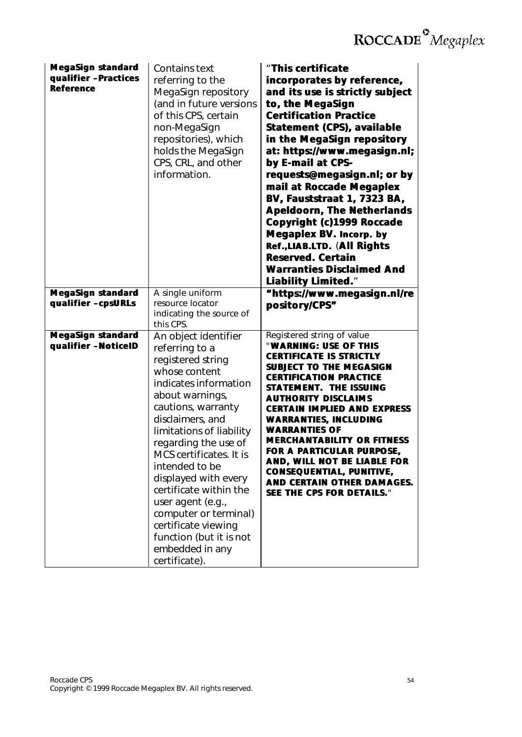| <b>MegaSign standard</b><br>qualifier -Practices<br><b>Reference</b> | <b>Contains text</b><br>referring to the<br>MegaSign repository<br>(and in future versions<br>of this CPS, certain<br>non-MegaSign<br>repositories), which<br>holds the MegaSign<br>CPS, CRL, and other<br>information.                                                                                                                                                                                                                                   | "This certificate<br>incorporates by reference,<br>and its use is strictly subject<br>to, the MegaSign<br><b>Certification Practice</b><br><b>Statement (CPS), available</b><br>in the MegaSign repository<br>at: https://www.megasign.nl;<br>by E-mail at CPS-<br>requests@megasign.nl; or by<br>mail at Roccade Megaplex<br>BV, Fauststraat 1, 7323 BA,<br><b>Apeldoorn, The Netherlands</b><br>Copyright (c)1999 Roccade<br><b>Megaplex BV. Incorp. by</b><br>Ref., LIAB.LTD. (All Rights<br><b>Reserved. Certain</b><br><b>Warranties Disclaimed And</b><br><b>Liability Limited."</b> |
|----------------------------------------------------------------------|-----------------------------------------------------------------------------------------------------------------------------------------------------------------------------------------------------------------------------------------------------------------------------------------------------------------------------------------------------------------------------------------------------------------------------------------------------------|--------------------------------------------------------------------------------------------------------------------------------------------------------------------------------------------------------------------------------------------------------------------------------------------------------------------------------------------------------------------------------------------------------------------------------------------------------------------------------------------------------------------------------------------------------------------------------------------|
| <b>MegaSign standard</b><br>qualifier -cpsURLs                       | A single uniform<br>resource locator<br>indicating the source of<br>this CPS.                                                                                                                                                                                                                                                                                                                                                                             | "https://www.megasign.nl/re<br>pository/CPS"                                                                                                                                                                                                                                                                                                                                                                                                                                                                                                                                               |
| <b>MegaSign standard</b><br>qualifier -NoticelD                      | An object identifier<br>referring to a<br>registered string<br>whose content<br>indicates information<br>about warnings,<br>cautions, warranty<br>disclaimers, and<br>limitations of liability<br>regarding the use of<br>MCS certificates. It is<br>intended to be<br>displayed with every<br>certificate within the<br>user agent (e.g.,<br>computer or terminal)<br>certificate viewing<br>function (but it is not<br>embedded in any<br>certificate). | Registered string of value<br>"WARNING: USE OF THIS<br><b>CERTIFICATE IS STRICTLY</b><br><b>SUBJECT TO THE MEGASIGN</b><br><b>CERTIFICATION PRACTICE</b><br><b>STATEMENT. THE ISSUING</b><br><b>AUTHORITY DISCLAIMS</b><br><b>CERTAIN IMPLIED AND EXPRESS</b><br><b>WARRANTIES, INCLUDING</b><br><b>WARRANTIES OF</b><br><b>MERCHANTABILITY OR FITNESS</b><br>FOR A PARTICULAR PURPOSE,<br>AND, WILL NOT BE LIABLE FOR<br><b>CONSEQUENTIAL, PUNITIVE,</b><br>AND CERTAIN OTHER DAMAGES.<br>SEE THE CPS FOR DETAILS."                                                                       |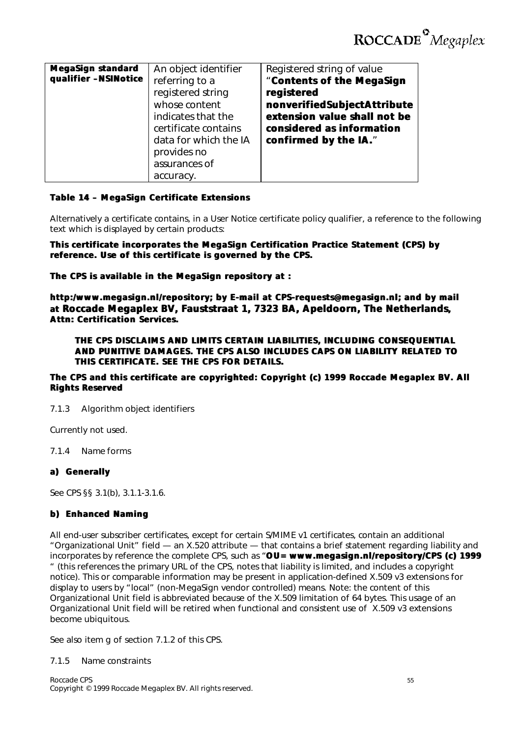| <b>MegaSign standard</b><br>qualifier -NSINotice | An object identifier<br>referring to a<br>registered string<br>whose content<br>indicates that the<br>certificate contains<br>data for which the IA<br>provides no<br>assurances of | Registered string of value<br>"Contents of the MegaSign<br>registered<br>nonverifiedSubjectAttribute<br>extension value shall not be<br>considered as information<br>confirmed by the IA." |
|--------------------------------------------------|-------------------------------------------------------------------------------------------------------------------------------------------------------------------------------------|--------------------------------------------------------------------------------------------------------------------------------------------------------------------------------------------|
|                                                  | accuracy.                                                                                                                                                                           |                                                                                                                                                                                            |

#### **Table 14 – MegaSign Certificate Extensions**

Alternatively a certificate contains, in a User Notice certificate policy qualifier, a reference to the following text which is displayed by certain products:

**This certificate incorporates the MegaSign Certification Practice Statement (CPS) by reference. Use of this certificate is governed by the CPS.**

**The CPS is available in the MegaSign repository at :**

**http:/www.megasign.nl/repository; by E-mail at CPS-requests@megasign.nl; and by mail at Roccade Megaplex BV, Fauststraat 1, 7323 BA, Apeldoorn, The Netherlands,, Attn: Certification Services.**

**THE CPS DISCLAIMS AND LIMITS CERTAIN LIABILITIES, INCLUDING CONSEQUENTIAL AND PUNITIVE DAMAGES. THE CPS ALSO INCLUDES CAPS ON LIABILITY RELATED TO THIS CERTIFICATE. SEE THE CPS FOR DETAILS.**

#### **The CPS and this certificate are copyrighted: Copyright (c) 1999 Roccade Megaplex BV. All Rights Reserved**

#### *7.1.3 Algorithm object identifiers*

Currently not used.

*7.1.4 Name forms*

#### **a) Generally**

*See* CPS §§ 3.1(b), 3.1.1-3.1.6.

#### **b) Enhanced Naming**

All end-user subscriber certificates, except for certain S/MIME v1 certificates, contain an additional "Organizational Unit" field — an X.520 attribute — that contains a brief statement regarding liability and incorporates by reference the complete CPS, such as "**OU= www.megasign.nl/repository/CPS (c) 1999** " (this references the primary URL of the CPS, notes that liability is limited, and includes a copyright notice). This or comparable information may be present in application-defined X.509 v3 extensions for display to users by "local" (non-MegaSign vendor controlled) means. Note: the content of this Organizational Unit field is abbreviated because of the X.509 limitation of 64 bytes. This usage of an Organizational Unit field will be retired when functional and consistent use of X.509 v3 extensions become ubiquitous.

*See also* item g of section 7.1.2 of this CPS.

#### *7.1.5 Name constraints*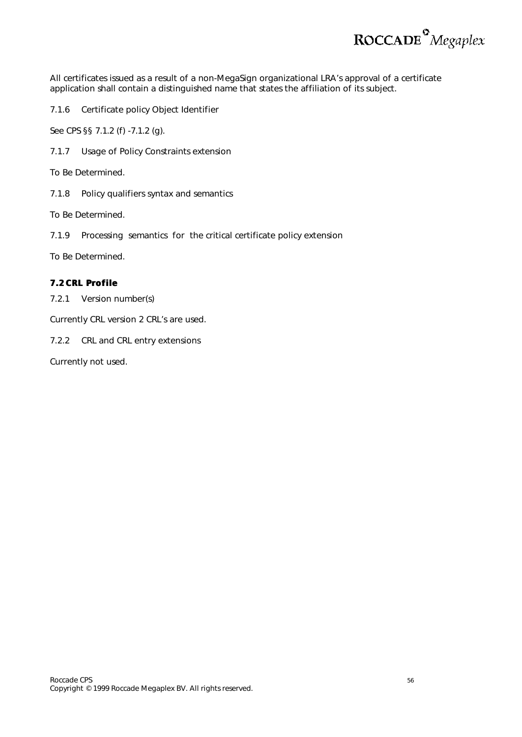

All certificates issued as a result of a non-MegaSign organizational LRA's approval of a certificate application shall contain a distinguished name that states the affiliation of its subject.

*7.1.6 Certificate policy Object Identifier*

*See* CPS §§ 7.1.2 (f) -7.1.2 (g).

*7.1.7 Usage of Policy Constraints extension*

To Be Determined.

*7.1.8 Policy qualifiers syntax and semantics*

To Be Determined.

*7.1.9 Processing semantics for the critical certificate policy extension*

To Be Determined.

#### **7.2 CRL Profile**

*7.2.1 Version number(s)*

Currently CRL version 2 CRL's are used.

*7.2.2 CRL and CRL entry extensions*

Currently not used.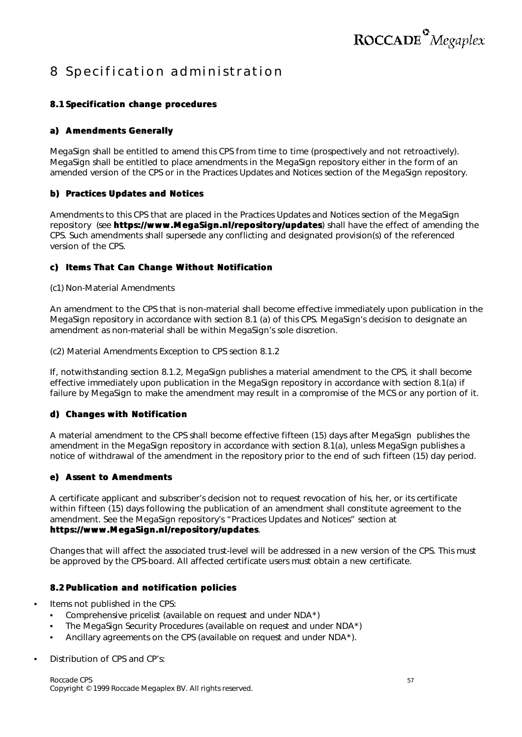### 8 Specification administration

#### **8.1 Specification change procedures**

#### **a) Amendments Generally**

MegaSign shall be entitled to amend this CPS from time to time (prospectively and not retroactively). MegaSign shall be entitled to place amendments in the MegaSign repository either in the form of an amended version of the CPS or in the Practices Updates and Notices section of the MegaSign repository.

#### **b) Practices Updates and Notices**

Amendments to this CPS that are placed in the Practices Updates and Notices section of the MegaSign repository (*see* **https://www.MegaSign.nl/repository/updates**) shall have the effect of amending the CPS. Such amendments shall supersede any conflicting and designated provision(s) of the referenced version of the CPS.

#### **c) Items That Can Change Without Notification**

(c1) Non-Material Amendments

An amendment to the CPS that is non-material shall become effective immediately upon publication in the MegaSign repository in accordance with section 8.1 (a) of this CPS. MegaSign's decision to designate an amendment as non-material shall be within MegaSign's sole discretion.

(c2) Material Amendments Exception to CPS section 8.1.2

If, notwithstanding section 8.1.2, MegaSign publishes a material amendment to the CPS, it shall become effective immediately upon publication in the MegaSign repository in accordance with section 8.1(a) if failure by MegaSign to make the amendment may result in a compromise of the MCS or any portion of it.

#### **d) Changes with Notification**

A material amendment to the CPS shall become effective fifteen (15) days after MegaSign publishes the amendment in the MegaSign repository in accordance with section 8.1(a), unless MegaSign publishes a notice of withdrawal of the amendment in the repository prior to the end of such fifteen (15) day period.

#### **e) Assent to Amendments**

A certificate applicant and subscriber's decision not to request revocation of his, her, or its certificate within fifteen (15) days following the publication of an amendment shall constitute agreement to the amendment. See the MegaSign repository's "Practices Updates and Notices" section at **https://www.MegaSign.nl/repository/updates**.

Changes that will affect the associated trust-level will be addressed in a new version of the CPS. This must be approved by the CPS-board. All affected certificate users must obtain a new certificate.

#### **8.2 Publication and notification policies**

- Items not published in the CPS:
	- Comprehensive pricelist (available on request and under NDA\*)
	- The MegaSign Security Procedures (available on request and under NDA\*)
	- Ancillary agreements on the CPS (available on request and under NDA\*).

• Distribution of CPS and CP's: